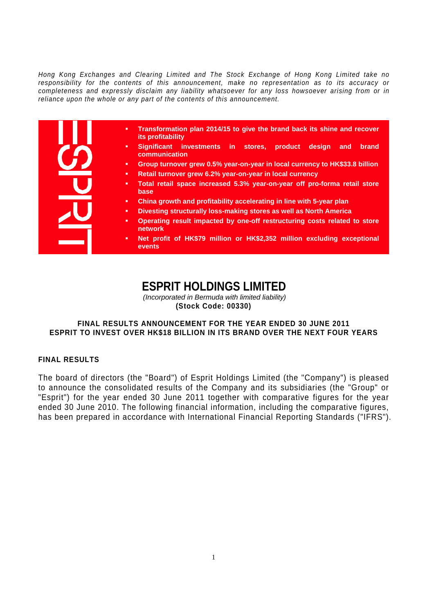*Hong Kong Exchanges and Clearing Limited and The Stock Exchange of Hong Kong Limited take no responsibility for the contents of this announcement, make no representation as to its accuracy or completeness and expressly disclaim any liability whatsoever for any loss howsoever arising from or in reliance upon the whole or any part of the contents of this announcement.* 

| Transformation plan 2014/15 to give the brand back its shine and recover<br>٠<br>its profitability |
|----------------------------------------------------------------------------------------------------|
| Significant investments in stores,<br>product<br>design<br>brand<br>and<br>٠<br>communication      |
| Group turnover grew 0.5% year-on-year in local currency to HK\$33.8 billion<br>٠                   |
| Retail turnover grew 6.2% year-on-year in local currency<br>٠                                      |
| Total retail space increased 5.3% year-on-year off pro-forma retail store<br>٠<br>base             |
| China growth and profitability accelerating in line with 5-year plan<br>٠                          |
| Divesting structurally loss-making stores as well as North America<br>٠                            |
| Operating result impacted by one-off restructuring costs related to store<br>٠<br>network          |
| Net profit of HK\$79 million or HK\$2,352 million excluding exceptional<br>٠<br>events             |

# **ESPRIT HOLDINGS LIMITED**

*(Incorporated in Bermuda with limited liability)*  **(Stock Code: 00330)** 

### **FINAL RESULTS ANNOUNCEMENT FOR THE YEAR ENDED 30 JUNE 2011 ESPRIT TO INVEST OVER HK\$18 BILLION IN ITS BRAND OVER THE NEXT FOUR YEARS**

### **FINAL RESULTS**

The board of directors (the "Board") of Esprit Holdings Limited (the "Company") is pleased to announce the consolidated results of the Company and its subsidiaries (the "Group" or "Esprit") for the year ended 30 June 2011 together with comparative figures for the year ended 30 June 2010. The following financial information, including the comparative figures, has been prepared in accordance with International Financial Reporting Standards ("IFRS").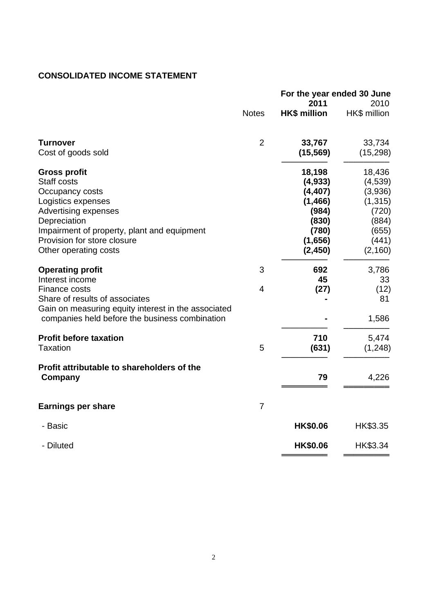# **CONSOLIDATED INCOME STATEMENT**

|                                                                                                                                                                                                                                   |                | 2011                                                                                       | For the year ended 30 June<br>2010                                                        |  |
|-----------------------------------------------------------------------------------------------------------------------------------------------------------------------------------------------------------------------------------|----------------|--------------------------------------------------------------------------------------------|-------------------------------------------------------------------------------------------|--|
|                                                                                                                                                                                                                                   | <b>Notes</b>   | <b>HK\$ million</b>                                                                        | HK\$ million                                                                              |  |
| <b>Turnover</b><br>Cost of goods sold                                                                                                                                                                                             | $\overline{2}$ | 33,767<br>(15, 569)                                                                        | 33,734<br>(15, 298)                                                                       |  |
| <b>Gross profit</b><br><b>Staff costs</b><br>Occupancy costs<br>Logistics expenses<br>Advertising expenses<br>Depreciation<br>Impairment of property, plant and equipment<br>Provision for store closure<br>Other operating costs |                | 18,198<br>(4,933)<br>(4, 407)<br>(1,466)<br>(984)<br>(830)<br>(780)<br>(1,656)<br>(2, 450) | 18,436<br>(4, 539)<br>(3,936)<br>(1, 315)<br>(720)<br>(884)<br>(655)<br>(441)<br>(2, 160) |  |
| <b>Operating profit</b><br>Interest income                                                                                                                                                                                        | 3              | 692<br>45                                                                                  | 3,786<br>33                                                                               |  |
| Finance costs<br>Share of results of associates<br>Gain on measuring equity interest in the associated<br>companies held before the business combination                                                                          | 4              | (27)                                                                                       | (12)<br>81<br>1,586                                                                       |  |
| <b>Profit before taxation</b><br><b>Taxation</b>                                                                                                                                                                                  | 5              | 710<br>(631)                                                                               | 5,474<br>(1, 248)                                                                         |  |
| Profit attributable to shareholders of the<br>Company                                                                                                                                                                             |                | 79                                                                                         | 4,226                                                                                     |  |
| <b>Earnings per share</b>                                                                                                                                                                                                         | $\overline{7}$ |                                                                                            |                                                                                           |  |
| - Basic                                                                                                                                                                                                                           |                | <b>HK\$0.06</b>                                                                            | HK\$3.35                                                                                  |  |
| - Diluted                                                                                                                                                                                                                         |                | HK\$0.06                                                                                   | HK\$3.34                                                                                  |  |
|                                                                                                                                                                                                                                   |                |                                                                                            |                                                                                           |  |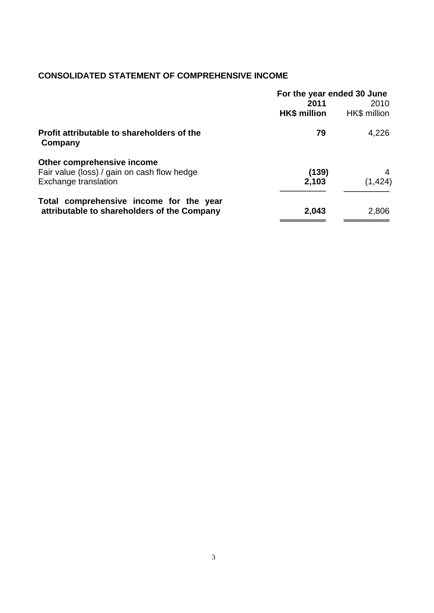# **CONSOLIDATED STATEMENT OF COMPREHENSIVE INCOME**

|                                                                                        | For the year ended 30 June  |                      |
|----------------------------------------------------------------------------------------|-----------------------------|----------------------|
|                                                                                        | 2011<br><b>HK\$ million</b> | 2010<br>HK\$ million |
| Profit attributable to shareholders of the<br>Company                                  | 79                          | 4,226                |
| Other comprehensive income<br>Fair value (loss) / gain on cash flow hedge              | (139)                       | 4                    |
| Exchange translation                                                                   | 2,103                       | (1, 424)             |
| Total comprehensive income for the year<br>attributable to shareholders of the Company | 2,043                       | 2,806                |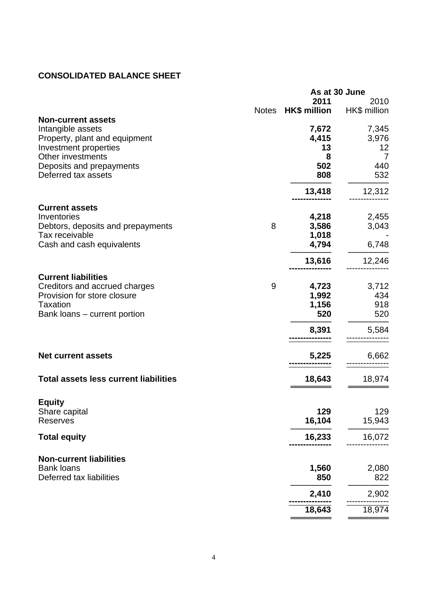# **CONSOLIDATED BALANCE SHEET**

|                                                | As at 30 June |                     |                |
|------------------------------------------------|---------------|---------------------|----------------|
|                                                |               | 2011                | 2010           |
|                                                | <b>Notes</b>  | <b>HK\$ million</b> | HK\$ million   |
| <b>Non-current assets</b><br>Intangible assets |               |                     |                |
| Property, plant and equipment                  |               | 7,672<br>4,415      | 7,345<br>3,976 |
| Investment properties                          |               | 13                  | 12             |
| Other investments                              |               | 8                   | $\overline{7}$ |
| Deposits and prepayments                       |               | 502                 | 440            |
| Deferred tax assets                            |               | 808                 | 532            |
|                                                |               | 13,418              | 12,312         |
| <b>Current assets</b>                          |               |                     |                |
| Inventories                                    |               | 4,218               | 2,455          |
| Debtors, deposits and prepayments              | 8             | 3,586               | 3,043          |
| Tax receivable                                 |               | 1,018               |                |
| Cash and cash equivalents                      |               | 4,794               | 6,748          |
|                                                |               | 13,616              |                |
|                                                |               |                     | 12,246         |
| <b>Current liabilities</b>                     |               |                     |                |
| Creditors and accrued charges                  | 9             | 4,723               | 3,712          |
| Provision for store closure                    |               | 1,992               | 434            |
| <b>Taxation</b>                                |               | 1,156               | 918            |
| Bank loans - current portion                   |               | 520                 | 520            |
|                                                |               | 8,391               | 5,584          |
|                                                |               |                     |                |
| <b>Net current assets</b>                      |               | 5,225               | 6,662          |
| <b>Total assets less current liabilities</b>   |               | 18,643              | 18,974         |
|                                                |               |                     |                |
| <b>Equity</b>                                  |               |                     |                |
| Share capital                                  |               | 129                 | 129            |
| <b>Reserves</b>                                |               | 16,104              | 15,943         |
| <b>Total equity</b>                            |               | 16,233              | 16,072         |
| <b>Non-current liabilities</b>                 |               |                     |                |
| <b>Bank loans</b>                              |               | 1,560               | 2,080          |
| Deferred tax liabilities                       |               | 850                 | 822            |
|                                                |               | 2,410               | 2,902          |
|                                                |               | 18,643              | 18,974         |
|                                                |               |                     |                |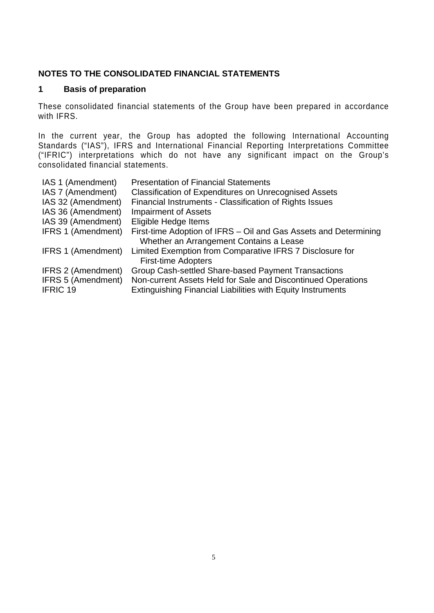# **NOTES TO THE CONSOLIDATED FINANCIAL STATEMENTS**

### **1 Basis of preparation**

These consolidated financial statements of the Group have been prepared in accordance with IFRS.

In the current year, the Group has adopted the following International Accounting Standards ("IAS"), IFRS and International Financial Reporting Interpretations Committee ("IFRIC") interpretations which do not have any significant impact on the Group's consolidated financial statements.

| IAS 1 (Amendment)         | <b>Presentation of Financial Statements</b>                        |
|---------------------------|--------------------------------------------------------------------|
| IAS 7 (Amendment)         | <b>Classification of Expenditures on Unrecognised Assets</b>       |
| IAS 32 (Amendment)        | Financial Instruments - Classification of Rights Issues            |
| IAS 36 (Amendment)        | <b>Impairment of Assets</b>                                        |
| IAS 39 (Amendment)        | Eligible Hedge Items                                               |
| <b>IFRS 1 (Amendment)</b> | First-time Adoption of IFRS – Oil and Gas Assets and Determining   |
|                           | Whether an Arrangement Contains a Lease                            |
| <b>IFRS 1 (Amendment)</b> | Limited Exemption from Comparative IFRS 7 Disclosure for           |
|                           | <b>First-time Adopters</b>                                         |
| <b>IFRS 2 (Amendment)</b> | Group Cash-settled Share-based Payment Transactions                |
| <b>IFRS 5 (Amendment)</b> | Non-current Assets Held for Sale and Discontinued Operations       |
| <b>IFRIC 19</b>           | <b>Extinguishing Financial Liabilities with Equity Instruments</b> |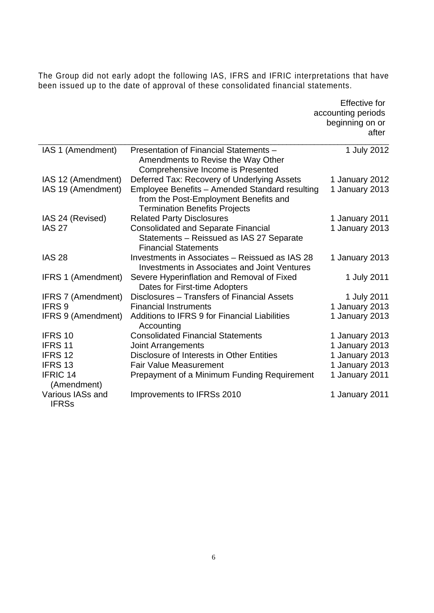The Group did not early adopt the following IAS, IFRS and IFRIC interpretations that have been issued up to the date of approval of these consolidated financial statements.

|                                  |                                                                                                                                 | <b>Effective for</b><br>accounting periods<br>beginning on or<br>after |
|----------------------------------|---------------------------------------------------------------------------------------------------------------------------------|------------------------------------------------------------------------|
| IAS 1 (Amendment)                | Presentation of Financial Statements -<br>Amendments to Revise the Way Other                                                    | 1 July 2012                                                            |
|                                  | Comprehensive Income is Presented                                                                                               |                                                                        |
| IAS 12 (Amendment)               | Deferred Tax: Recovery of Underlying Assets                                                                                     | 1 January 2012                                                         |
| IAS 19 (Amendment)               | Employee Benefits - Amended Standard resulting<br>from the Post-Employment Benefits and<br><b>Termination Benefits Projects</b> | 1 January 2013                                                         |
| IAS 24 (Revised)                 | <b>Related Party Disclosures</b>                                                                                                | 1 January 2011                                                         |
| <b>IAS 27</b>                    | <b>Consolidated and Separate Financial</b><br>Statements - Reissued as IAS 27 Separate<br><b>Financial Statements</b>           | 1 January 2013                                                         |
| <b>IAS 28</b>                    | Investments in Associates - Reissued as IAS 28<br><b>Investments in Associates and Joint Ventures</b>                           | 1 January 2013                                                         |
| <b>IFRS 1 (Amendment)</b>        | Severe Hyperinflation and Removal of Fixed<br>Dates for First-time Adopters                                                     | 1 July 2011                                                            |
| <b>IFRS 7 (Amendment)</b>        | Disclosures - Transfers of Financial Assets                                                                                     | 1 July 2011                                                            |
| IFRS <sub>9</sub>                | <b>Financial Instruments</b>                                                                                                    | 1 January 2013                                                         |
| <b>IFRS 9 (Amendment)</b>        | Additions to IFRS 9 for Financial Liabilities<br>Accounting                                                                     | 1 January 2013                                                         |
| IFRS 10                          | <b>Consolidated Financial Statements</b>                                                                                        | 1 January 2013                                                         |
| IFRS 11                          | Joint Arrangements                                                                                                              | 1 January 2013                                                         |
| IFRS 12                          | Disclosure of Interests in Other Entities                                                                                       | 1 January 2013                                                         |
| IFRS <sub>13</sub>               | <b>Fair Value Measurement</b>                                                                                                   | 1 January 2013                                                         |
| <b>IFRIC 14</b><br>(Amendment)   | Prepayment of a Minimum Funding Requirement                                                                                     | 1 January 2011                                                         |
| Various IASs and<br><b>IFRSs</b> | Improvements to IFRSs 2010                                                                                                      | 1 January 2011                                                         |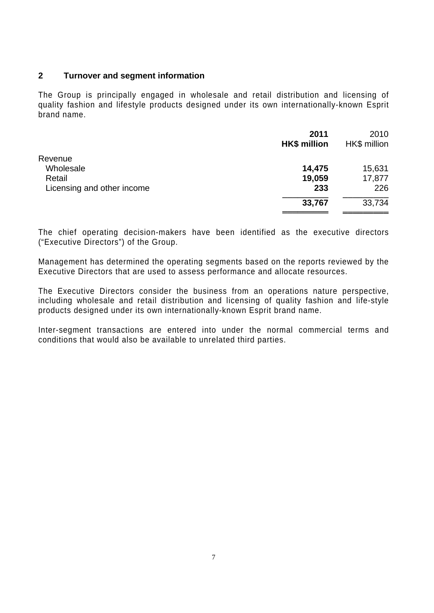### **2 Turnover and segment information**

The Group is principally engaged in wholesale and retail distribution and licensing of quality fashion and lifestyle products designed under its own internationally-known Esprit brand name.

|                            | 2011<br><b>HK\$ million</b> | 2010<br>HK\$ million |
|----------------------------|-----------------------------|----------------------|
| Revenue                    |                             |                      |
| Wholesale                  | 14,475                      | 15,631               |
| Retail                     | 19,059                      | 17,877               |
| Licensing and other income | 233                         | 226                  |
|                            | 33,767                      | 33,734               |
|                            |                             |                      |

The chief operating decision-makers have been identified as the executive directors ("Executive Directors") of the Group.

Management has determined the operating segments based on the reports reviewed by the Executive Directors that are used to assess performance and allocate resources.

The Executive Directors consider the business from an operations nature perspective, including wholesale and retail distribution and licensing of quality fashion and life-style products designed under its own internationally-known Esprit brand name.

Inter-segment transactions are entered into under the normal commercial terms and conditions that would also be available to unrelated third parties.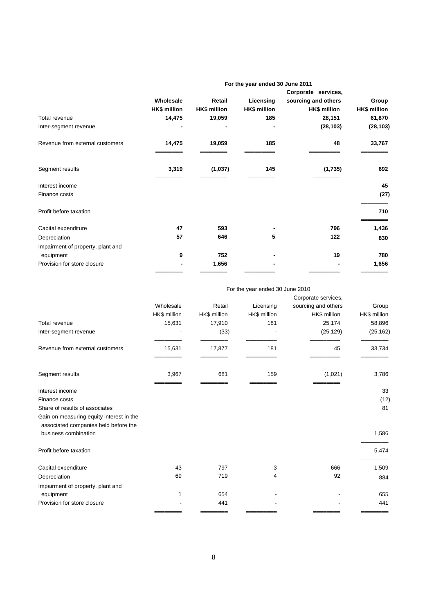|                                   |                     |                     |                     | Corporate services, |              |
|-----------------------------------|---------------------|---------------------|---------------------|---------------------|--------------|
|                                   | Wholesale           | Retail              | Licensing           | sourcing and others | Group        |
|                                   | <b>HK\$ million</b> | <b>HK\$ million</b> | <b>HK\$ million</b> | HK\$ million        | HK\$ million |
| Total revenue                     | 14,475              | 19,059              | 185                 | 28,151              | 61,870       |
| Inter-segment revenue             |                     |                     |                     | (28, 103)           | (28, 103)    |
| Revenue from external customers   | 14,475              | 19,059              | 185                 | 48                  | 33,767       |
| Segment results                   | 3,319               | (1,037)             | 145                 | (1,735)             | 692          |
| Interest income                   |                     |                     |                     |                     | 45           |
| Finance costs                     |                     |                     |                     |                     | (27)         |
| Profit before taxation            |                     |                     |                     |                     | 710          |
| Capital expenditure               | 47                  | 593                 |                     | 796                 | 1,436        |
| Depreciation                      | 57                  | 646                 | 5                   | 122                 | 830          |
| Impairment of property, plant and |                     |                     |                     |                     |              |
| equipment                         | 9                   | 752                 |                     | 19                  | 780          |
| Provision for store closure       |                     | 1,656               |                     |                     | 1,656        |
|                                   |                     |                     |                     |                     |              |

#### **For the year ended 30 June 2011**

#### For the year ended 30 June 2010

|                                                                                  |              |              |              | Corporate services, |              |
|----------------------------------------------------------------------------------|--------------|--------------|--------------|---------------------|--------------|
|                                                                                  | Wholesale    | Retail       | Licensing    | sourcing and others | Group        |
|                                                                                  | HK\$ million | HK\$ million | HK\$ million | HK\$ million        | HK\$ million |
| Total revenue                                                                    | 15,631       | 17,910       | 181          | 25,174              | 58,896       |
| Inter-segment revenue                                                            |              | (33)         |              | (25, 129)           | (25, 162)    |
| Revenue from external customers                                                  | 15,631       | 17,877       | 181          | 45                  | 33,734       |
| Segment results                                                                  | 3,967        | 681          | 159          | (1,021)             | 3,786        |
| Interest income                                                                  |              |              |              |                     | 33           |
| Finance costs                                                                    |              |              |              |                     | (12)         |
| Share of results of associates                                                   |              |              |              |                     | 81           |
| Gain on measuring equity interest in the<br>associated companies held before the |              |              |              |                     |              |
| business combination                                                             |              |              |              |                     | 1,586        |
| Profit before taxation                                                           |              |              |              |                     | 5,474        |
| Capital expenditure                                                              | 43           | 797          | 3            | 666                 | 1,509        |
| Depreciation                                                                     | 69           | 719          | 4            | 92                  | 884          |
| Impairment of property, plant and                                                |              |              |              |                     |              |
| equipment                                                                        | 1            | 654          |              |                     | 655          |
| Provision for store closure                                                      |              | 441          |              |                     | 441          |
|                                                                                  |              |              |              |                     |              |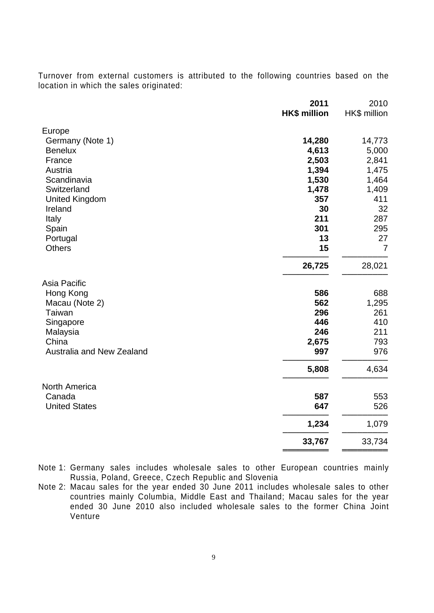Turnover from external customers is attributed to the following countries based on the location in which the sales originated:

|                           | 2011                | 2010           |
|---------------------------|---------------------|----------------|
|                           | <b>HK\$ million</b> | HK\$ million   |
| Europe                    |                     |                |
| Germany (Note 1)          | 14,280              | 14,773         |
| <b>Benelux</b>            | 4,613               | 5,000          |
| France                    | 2,503               | 2,841          |
| Austria                   | 1,394               | 1,475          |
| Scandinavia               | 1,530               | 1,464          |
| Switzerland               | 1,478               | 1,409          |
| <b>United Kingdom</b>     | 357                 | 411            |
| Ireland                   | 30                  | 32             |
| Italy                     | 211                 | 287            |
| Spain                     | 301                 | 295            |
| Portugal                  | 13                  | 27             |
| <b>Others</b>             | 15                  | $\overline{7}$ |
|                           | 26,725              | 28,021         |
| Asia Pacific              |                     |                |
| Hong Kong                 | 586                 | 688            |
| Macau (Note 2)            | 562                 | 1,295          |
| Taiwan                    | 296                 | 261            |
| Singapore                 | 446                 | 410            |
| Malaysia                  | 246                 | 211            |
| China                     | 2,675               | 793            |
| Australia and New Zealand | 997                 | 976            |
|                           | 5,808               | 4,634          |
| North America             |                     |                |
| Canada                    | 587                 | 553            |
| <b>United States</b>      | 647                 | 526            |
|                           | 1,234               | 1,079          |
|                           | 33,767              | 33,734         |
|                           |                     |                |

Note 1: Germany sales includes wholesale sales to other European countries mainly Russia, Poland, Greece, Czech Republic and Slovenia

Note 2: Macau sales for the year ended 30 June 2011 includes wholesale sales to other countries mainly Columbia, Middle East and Thailand; Macau sales for the year ended 30 June 2010 also included wholesale sales to the former China Joint Venture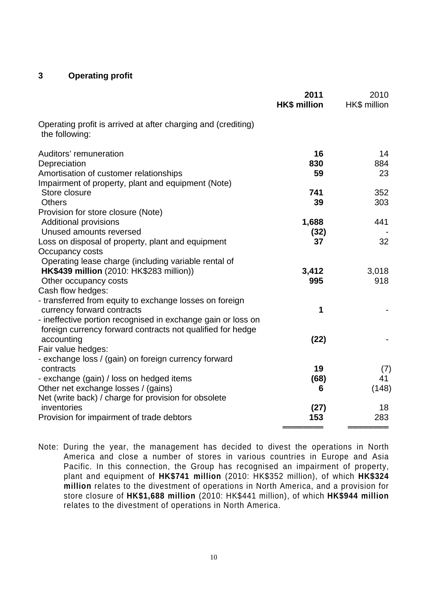### **3 Operating profit**

|                                                                                 | 2011<br><b>HK\$ million</b> | 2010<br>HK\$ million |
|---------------------------------------------------------------------------------|-----------------------------|----------------------|
| Operating profit is arrived at after charging and (crediting)<br>the following: |                             |                      |
| Auditors' remuneration                                                          | 16                          | 14                   |
| Depreciation                                                                    | 830                         | 884                  |
| Amortisation of customer relationships                                          | 59                          | 23                   |
| Impairment of property, plant and equipment (Note)                              |                             |                      |
| Store closure                                                                   | 741                         | 352                  |
| <b>Others</b>                                                                   | 39                          | 303                  |
| Provision for store closure (Note)                                              |                             |                      |
| <b>Additional provisions</b>                                                    | 1,688                       | 441                  |
| Unused amounts reversed                                                         | (32)                        |                      |
| Loss on disposal of property, plant and equipment                               | 37                          | 32                   |
| Occupancy costs                                                                 |                             |                      |
| Operating lease charge (including variable rental of                            |                             |                      |
| HK\$439 million (2010: HK\$283 million))                                        | 3,412                       | 3,018                |
| Other occupancy costs                                                           | 995                         | 918                  |
| Cash flow hedges:                                                               |                             |                      |
| - transferred from equity to exchange losses on foreign                         |                             |                      |
| currency forward contracts                                                      | 1                           |                      |
| - ineffective portion recognised in exchange gain or loss on                    |                             |                      |
| foreign currency forward contracts not qualified for hedge                      |                             |                      |
| accounting                                                                      | (22)                        |                      |
| Fair value hedges:                                                              |                             |                      |
| - exchange loss / (gain) on foreign currency forward                            |                             |                      |
| contracts                                                                       | 19                          | (7)                  |
| - exchange (gain) / loss on hedged items                                        | (68)                        | 41                   |
| Other net exchange losses / (gains)                                             | 6                           | (148)                |
| Net (write back) / charge for provision for obsolete                            |                             |                      |
| inventories                                                                     | (27)                        | 18                   |
| Provision for impairment of trade debtors                                       | 153                         | 283                  |
|                                                                                 |                             |                      |

Note: During the year, the management has decided to divest the operations in North America and close a number of stores in various countries in Europe and Asia Pacific. In this connection, the Group has recognised an impairment of property, plant and equipment of **HK\$741 million** (2010: HK\$352 million), of which **HK\$324 million** relates to the divestment of operations in North America, and a provision for store closure of **HK\$1,688 million** (2010: HK\$441 million), of which **HK\$944 million** relates to the divestment of operations in North America.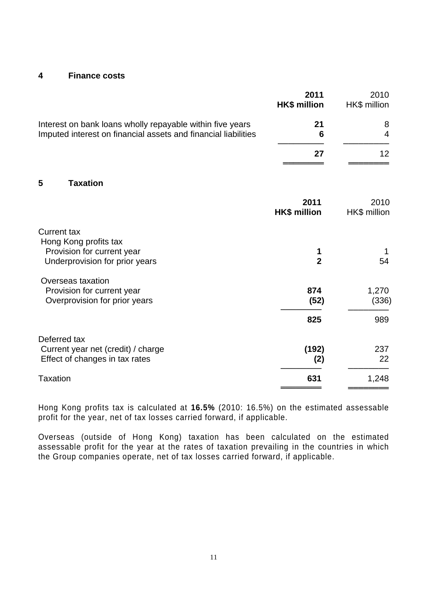#### **4 Finance costs**

|                                                                                                                             | 2011<br><b>HK\$ million</b> | 2010<br>HK\$ million |
|-----------------------------------------------------------------------------------------------------------------------------|-----------------------------|----------------------|
| Interest on bank loans wholly repayable within five years<br>Imputed interest on financial assets and financial liabilities | 21<br>6                     | 8<br>4               |
|                                                                                                                             | 27                          | 12                   |
| 5<br><b>Taxation</b>                                                                                                        |                             |                      |
|                                                                                                                             | 2011<br><b>HK\$ million</b> | 2010<br>HK\$ million |
| <b>Current tax</b>                                                                                                          |                             |                      |
| Hong Kong profits tax<br>Provision for current year<br>Underprovision for prior years                                       | 1<br>$\overline{2}$         | 54                   |
| Overseas taxation<br>Provision for current year<br>Overprovision for prior years                                            | 874<br>(52)                 | 1,270<br>(336)       |
|                                                                                                                             | 825                         | 989                  |
| Deferred tax                                                                                                                |                             |                      |
| Current year net (credit) / charge<br>Effect of changes in tax rates                                                        | (192)<br>(2)                | 237<br>22            |
| <b>Taxation</b>                                                                                                             | 631                         | 1,248                |

Hong Kong profits tax is calculated at **16.5%** (2010: 16.5%) on the estimated assessable profit for the year, net of tax losses carried forward, if applicable.

Overseas (outside of Hong Kong) taxation has been calculated on the estimated assessable profit for the year at the rates of taxation prevailing in the countries in which the Group companies operate, net of tax losses carried forward, if applicable.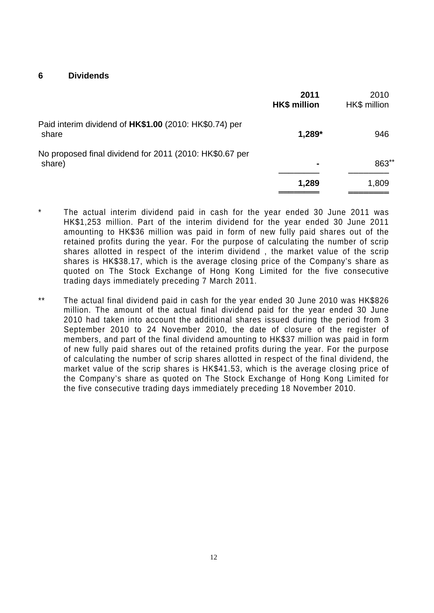**6 Dividends** 

|                                                                   | 2011<br><b>HK\$ million</b> | 2010<br>HK\$ million |
|-------------------------------------------------------------------|-----------------------------|----------------------|
| Paid interim dividend of HK\$1.00 (2010: HK\$0.74) per<br>share   | 1,289*                      | 946                  |
| No proposed final dividend for 2011 (2010: HK\$0.67 per<br>share) | ۰                           | 863**                |
|                                                                   | 1,289                       | 1,809                |

- The actual interim dividend paid in cash for the year ended 30 June 2011 was HK\$1,253 million. Part of the interim dividend for the year ended 30 June 2011 amounting to HK\$36 million was paid in form of new fully paid shares out of the retained profits during the year. For the purpose of calculating the number of scrip shares allotted in respect of the interim dividend , the market value of the scrip shares is HK\$38.17, which is the average closing price of the Company's share as quoted on The Stock Exchange of Hong Kong Limited for the five consecutive trading days immediately preceding 7 March 2011.
- \*\* The actual final dividend paid in cash for the year ended 30 June 2010 was HK\$826 million. The amount of the actual final dividend paid for the year ended 30 June 2010 had taken into account the additional shares issued during the period from 3 September 2010 to 24 November 2010, the date of closure of the register of members, and part of the final dividend amounting to HK\$37 million was paid in form of new fully paid shares out of the retained profits during the year. For the purpose of calculating the number of scrip shares allotted in respect of the final dividend, the market value of the scrip shares is HK\$41.53, which is the average closing price of the Company's share as quoted on The Stock Exchange of Hong Kong Limited for the five consecutive trading days immediately preceding 18 November 2010.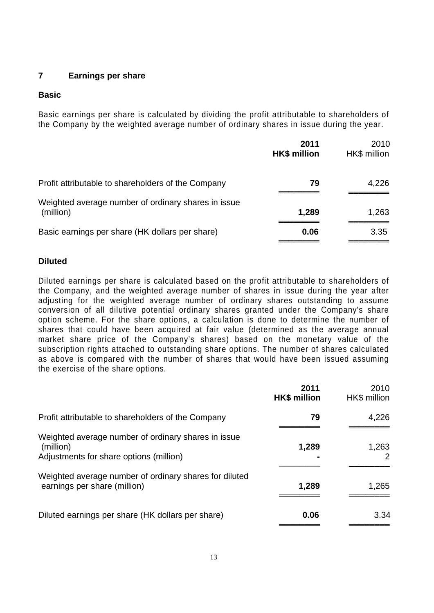### **7 Earnings per share**

# **Basic**

Basic earnings per share is calculated by dividing the profit attributable to shareholders of the Company by the weighted average number of ordinary shares in issue during the year.

|                                                                  | 2011<br><b>HK\$ million</b> | 2010<br>HK\$ million |
|------------------------------------------------------------------|-----------------------------|----------------------|
| Profit attributable to shareholders of the Company               | 79                          | 4,226                |
| Weighted average number of ordinary shares in issue<br>(million) | 1,289                       | 1,263                |
| Basic earnings per share (HK dollars per share)                  | 0.06                        | 3.35                 |

# **Diluted**

Diluted earnings per share is calculated based on the profit attributable to shareholders of the Company, and the weighted average number of shares in issue during the year after adjusting for the weighted average number of ordinary shares outstanding to assume conversion of all dilutive potential ordinary shares granted under the Company's share option scheme. For the share options, a calculation is done to determine the number of shares that could have been acquired at fair value (determined as the average annual market share price of the Company's shares) based on the monetary value of the subscription rights attached to outstanding share options. The number of shares calculated as above is compared with the number of shares that would have been issued assuming the exercise of the share options.

|                                                                                                             | 2011<br><b>HK\$ million</b> | 2010<br>HK\$ million |
|-------------------------------------------------------------------------------------------------------------|-----------------------------|----------------------|
| Profit attributable to shareholders of the Company                                                          | 79                          | 4,226                |
| Weighted average number of ordinary shares in issue<br>(million)<br>Adjustments for share options (million) | 1,289                       | 1,263<br>2           |
| Weighted average number of ordinary shares for diluted<br>earnings per share (million)                      | 1,289                       | 1,265                |
| Diluted earnings per share (HK dollars per share)                                                           | 0.06                        | 3.34                 |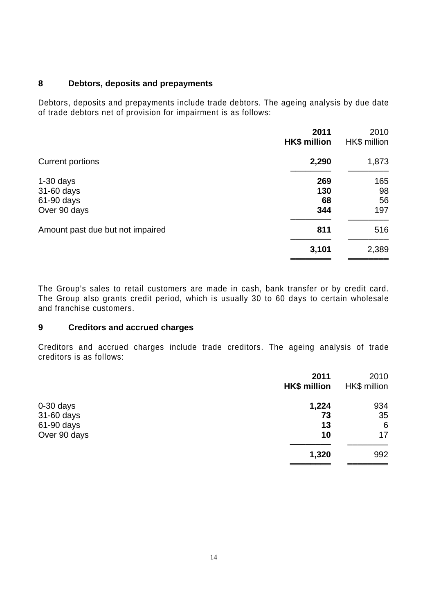#### **8 Debtors, deposits and prepayments**

Debtors, deposits and prepayments include trade debtors. The ageing analysis by due date of trade debtors net of provision for impairment is as follows:

|                                  | 2011<br><b>HK\$ million</b> | 2010<br>HK\$ million |
|----------------------------------|-----------------------------|----------------------|
| Current portions                 | 2,290                       | 1,873                |
| $1-30$ days                      | 269                         | 165                  |
| 31-60 days                       | 130                         | 98                   |
| 61-90 days                       | 68                          | 56                   |
| Over 90 days                     | 344                         | 197                  |
| Amount past due but not impaired | 811                         | 516                  |
|                                  | 3,101                       | 2,389                |
|                                  |                             |                      |

The Group's sales to retail customers are made in cash, bank transfer or by credit card. The Group also grants credit period, which is usually 30 to 60 days to certain wholesale and franchise customers.

#### **9 Creditors and accrued charges**

Creditors and accrued charges include trade creditors. The ageing analysis of trade creditors is as follows:

|              | 2011<br><b>HK\$ million</b> | 2010<br>HK\$ million |
|--------------|-----------------------------|----------------------|
| $0-30$ days  | 1,224                       | 934                  |
| 31-60 days   | 73                          | 35                   |
| 61-90 days   | 13                          | 6                    |
| Over 90 days | 10                          | 17                   |
|              | 1,320                       | 992                  |
|              |                             |                      |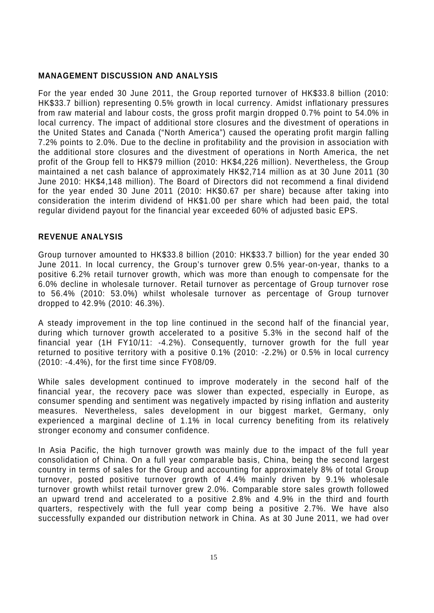#### **MANAGEMENT DISCUSSION AND ANALYSIS**

For the year ended 30 June 2011, the Group reported turnover of HK\$33.8 billion (2010: HK\$33.7 billion) representing 0.5% growth in local currency. Amidst inflationary pressures from raw material and labour costs, the gross profit margin dropped 0.7% point to 54.0% in local currency. The impact of additional store closures and the divestment of operations in the United States and Canada ("North America") caused the operating profit margin falling 7.2% points to 2.0%. Due to the decline in profitability and the provision in association with the additional store closures and the divestment of operations in North America, the net profit of the Group fell to HK\$79 million (2010: HK\$4,226 million). Nevertheless, the Group maintained a net cash balance of approximately HK\$2,714 million as at 30 June 2011 (30 June 2010: HK\$4,148 million). The Board of Directors did not recommend a final dividend for the year ended 30 June 2011 (2010: HK\$0.67 per share) because after taking into consideration the interim dividend of HK\$1.00 per share which had been paid, the total regular dividend payout for the financial year exceeded 60% of adjusted basic EPS.

### **REVENUE ANALYSIS**

Group turnover amounted to HK\$33.8 billion (2010: HK\$33.7 billion) for the year ended 30 June 2011. In local currency, the Group's turnover grew 0.5% year-on-year, thanks to a positive 6.2% retail turnover growth, which was more than enough to compensate for the 6.0% decline in wholesale turnover. Retail turnover as percentage of Group turnover rose to 56.4% (2010: 53.0%) whilst wholesale turnover as percentage of Group turnover dropped to 42.9% (2010: 46.3%).

A steady improvement in the top line continued in the second half of the financial year, during which turnover growth accelerated to a positive 5.3% in the second half of the financial year (1H FY10/11: -4.2%). Consequently, turnover growth for the full year returned to positive territory with a positive 0.1% (2010: -2.2%) or 0.5% in local currency (2010: -4.4%), for the first time since FY08/09.

While sales development continued to improve moderately in the second half of the financial year, the recovery pace was slower than expected, especially in Europe, as consumer spending and sentiment was negatively impacted by rising inflation and austerity measures. Nevertheless, sales development in our biggest market, Germany, only experienced a marginal decline of 1.1% in local currency benefiting from its relatively stronger economy and consumer confidence.

In Asia Pacific, the high turnover growth was mainly due to the impact of the full year consolidation of China. On a full year comparable basis, China, being the second largest country in terms of sales for the Group and accounting for approximately 8% of total Group turnover, posted positive turnover growth of 4.4% mainly driven by 9.1% wholesale turnover growth whilst retail turnover grew 2.0%. Comparable store sales growth followed an upward trend and accelerated to a positive 2.8% and 4.9% in the third and fourth quarters, respectively with the full year comp being a positive 2.7%. We have also successfully expanded our distribution network in China. As at 30 June 2011, we had over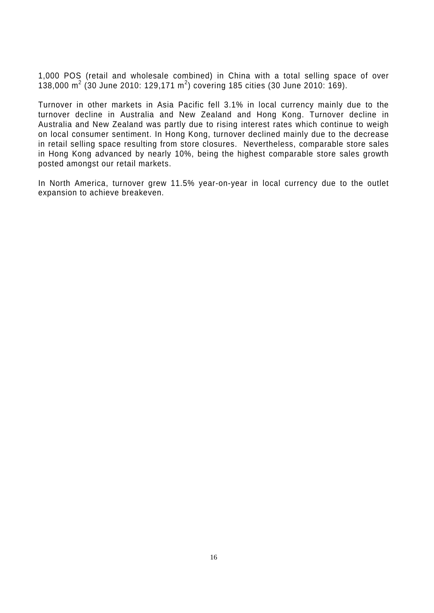1,000 POS (retail and wholesale combined) in China with a total selling space of over 138,000 m<sup>2</sup> (30 June 2010: 129,171 m<sup>2</sup>) covering 185 cities (30 June 2010: 169).

Turnover in other markets in Asia Pacific fell 3.1% in local currency mainly due to the turnover decline in Australia and New Zealand and Hong Kong. Turnover decline in Australia and New Zealand was partly due to rising interest rates which continue to weigh on local consumer sentiment. In Hong Kong, turnover declined mainly due to the decrease in retail selling space resulting from store closures. Nevertheless, comparable store sales in Hong Kong advanced by nearly 10%, being the highest comparable store sales growth posted amongst our retail markets.

In North America, turnover grew 11.5% year-on-year in local currency due to the outlet expansion to achieve breakeven.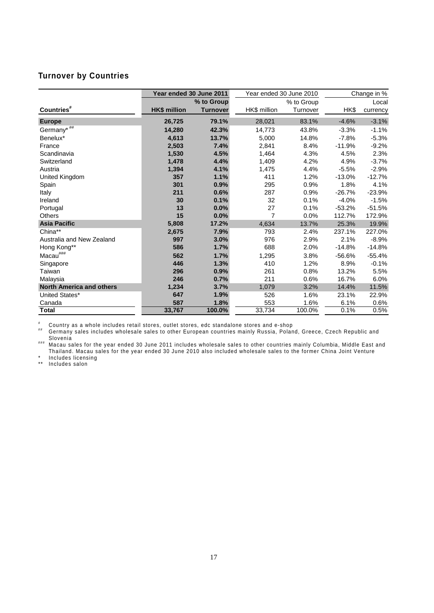# **Turnover by Countries**

|                                 | Year ended 30 June 2011 |                 | Year ended 30 June 2010 |            | Change in % |          |  |
|---------------------------------|-------------------------|-----------------|-------------------------|------------|-------------|----------|--|
|                                 |                         | % to Group      |                         | % to Group |             | Local    |  |
| Countries <sup>#</sup>          | <b>HK\$ million</b>     | <b>Turnover</b> | HK\$ million            | Turnover   | HK\$        | currency |  |
| <b>Europe</b>                   | 26,725                  | 79.1%           | 28,021                  | 83.1%      | $-4.6%$     | $-3.1%$  |  |
| Germany <sup>*##</sup>          | 14,280                  | 42.3%           | 14,773                  | 43.8%      | $-3.3%$     | $-1.1%$  |  |
| Benelux*                        | 4,613                   | 13.7%           | 5,000                   | 14.8%      | $-7.8%$     | $-5.3%$  |  |
| France                          | 2,503                   | 7.4%            | 2,841                   | 8.4%       | $-11.9%$    | $-9.2%$  |  |
| Scandinavia                     | 1,530                   | 4.5%            | 1,464                   | 4.3%       | 4.5%        | 2.3%     |  |
| Switzerland                     | 1,478                   | 4.4%            | 1,409                   | 4.2%       | 4.9%        | $-3.7%$  |  |
| Austria                         | 1,394                   | 4.1%            | 1,475                   | 4.4%       | $-5.5%$     | $-2.9%$  |  |
| United Kingdom                  | 357                     | 1.1%            | 411                     | 1.2%       | $-13.0%$    | $-12.7%$ |  |
| Spain                           | 301                     | 0.9%            | 295                     | 0.9%       | 1.8%        | 4.1%     |  |
| Italy                           | 211                     | 0.6%            | 287                     | 0.9%       | $-26.7%$    | $-23.9%$ |  |
| Ireland                         | 30                      | 0.1%            | 32                      | 0.1%       | $-4.0%$     | $-1.5%$  |  |
| Portugal                        | 13                      | 0.0%            | 27                      | 0.1%       | $-53.2%$    | $-51.5%$ |  |
| <b>Others</b>                   | 15                      | 0.0%            | 7                       | 0.0%       | 112.7%      | 172.9%   |  |
| <b>Asia Pacific</b>             | 5,808                   | 17.2%           | 4,634                   | 13.7%      | 25.3%       | 19.9%    |  |
| China**                         | 2,675                   | 7.9%            | 793                     | 2.4%       | 237.1%      | 227.0%   |  |
| Australia and New Zealand       | 997                     | 3.0%            | 976                     | 2.9%       | 2.1%        | $-8.9%$  |  |
| Hong Kong**                     | 586                     | 1.7%            | 688                     | 2.0%       | $-14.8%$    | $-14.8%$ |  |
| $Macau^{\# \# \#}$              | 562                     | 1.7%            | 1,295                   | 3.8%       | $-56.6%$    | $-55.4%$ |  |
| Singapore                       | 446                     | 1.3%            | 410                     | 1.2%       | 8.9%        | $-0.1%$  |  |
| Taiwan                          | 296                     | 0.9%            | 261                     | 0.8%       | 13.2%       | 5.5%     |  |
| Malaysia                        | 246                     | 0.7%            | 211                     | 0.6%       | 16.7%       | 6.0%     |  |
| <b>North America and others</b> | 1,234                   | 3.7%            | 1,079                   | 3.2%       | 14.4%       | 11.5%    |  |
| United States*                  | 647                     | 1.9%            | 526                     | 1.6%       | 23.1%       | 22.9%    |  |
| Canada                          | 587                     | 1.8%            | 553                     | 1.6%       | 6.1%        | 0.6%     |  |
| <b>Total</b>                    | 33,767                  | 100.0%          | 33,734                  | 100.0%     | 0.1%        | 0.5%     |  |

# <sup>#</sup> Country as a whole includes retail stores, outlet stores, edc standalone stores and e-shop<br><sup>##</sup> Cormany sales includes wholesale sales to other European countries mainly Bussia. Belan

Germany sales includes wholesale sales to other European countries mainly Russia, Poland, Greece, Czech Republic and Slovenia<br>Slovenia<br>### Macau sales for the year ended 30 June 2011 includes wholesale sales to other countries mainly Columbia, Middle East and

Thailand. Macau sales for the year ended 30 June 2010 also included wholesale sales to the former China Joint Venture Includes licensing

\*\* Includes salon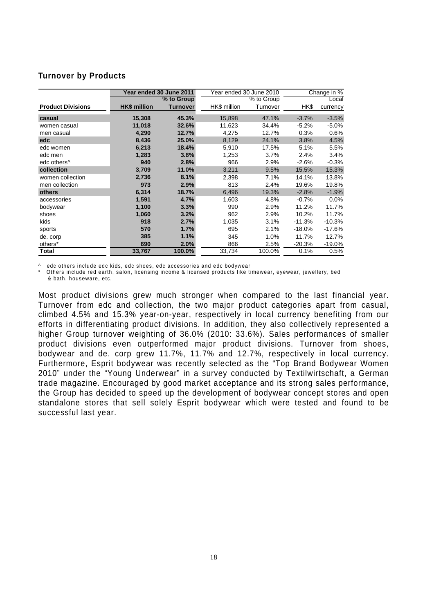#### **Turnover by Products**

|                          | Year ended 30 June 2011<br>Year ended 30 June 2010 |                 | Change in %  |            |           |          |
|--------------------------|----------------------------------------------------|-----------------|--------------|------------|-----------|----------|
|                          |                                                    | % to Group      |              | % to Group |           | Local    |
| <b>Product Divisions</b> | <b>HK\$</b> million                                | <b>Turnover</b> | HK\$ million | Turnover   | HK\$      | currency |
| casual                   | 15,308                                             | 45.3%           | 15,898       | 47.1%      | $-3.7%$   | $-3.5%$  |
| women casual             | 11,018                                             | 32.6%           | 11,623       | 34.4%      | $-5.2%$   | $-5.0%$  |
| men casual               | 4,290                                              | 12.7%           | 4,275        | 12.7%      | 0.3%      | 0.6%     |
| edc                      | 8,436                                              | 25.0%           | 8,129        | 24.1%      | 3.8%      | 4.5%     |
| edc women                | 6,213                                              | 18.4%           | 5,910        | 17.5%      | 5.1%      | 5.5%     |
| edc men                  | 1,283                                              | 3.8%            | 1,253        | 3.7%       | 2.4%      | 3.4%     |
| edc others <sup>^</sup>  | 940                                                | 2.8%            | 966          | 2.9%       | $-2.6%$   | $-0.3%$  |
| collection               | 3,709                                              | 11.0%           | 3,211        | 9.5%       | 15.5%     | 15.3%    |
| women collection         | 2,736                                              | 8.1%            | 2,398        | 7.1%       | 14.1%     | 13.8%    |
| men collection           | 973                                                | 2.9%            | 813          | 2.4%       | 19.6%     | 19.8%    |
| others                   | 6,314                                              | 18.7%           | 6,496        | 19.3%      | $-2.8%$   | $-1.9%$  |
| accessories              | 1,591                                              | 4.7%            | 1,603        | 4.8%       | $-0.7%$   | 0.0%     |
| bodywear                 | 1,100                                              | 3.3%            | 990          | 2.9%       | 11.2%     | 11.7%    |
| shoes                    | 1,060                                              | 3.2%            | 962          | 2.9%       | 10.2%     | 11.7%    |
| kids                     | 918                                                | 2.7%            | 1,035        | 3.1%       | $-11.3%$  | $-10.3%$ |
| sports                   | 570                                                | 1.7%            | 695          | 2.1%       | $-18.0\%$ | $-17.6%$ |
| de. corp                 | 385                                                | 1.1%            | 345          | 1.0%       | 11.7%     | 12.7%    |
| others*                  | 690                                                | 2.0%            | 866          | 2.5%       | $-20.3%$  | $-19.0%$ |
| <b>Total</b>             | 33,767                                             | 100.0%          | 33,734       | 100.0%     | 0.1%      | 0.5%     |

^ edc others include edc kids, edc shoes, edc accessories and edc bodywear

Others include red earth, salon, licensing income & licensed products like timewear, eyewear, jewellery, bed & bath, houseware, etc.

Most product divisions grew much stronger when compared to the last financial year. Turnover from edc and collection, the two major product categories apart from casual, climbed 4.5% and 15.3% year-on-year, respectively in local currency benefiting from our efforts in differentiating product divisions. In addition, they also collectively represented a higher Group turnover weighting of 36.0% (2010: 33.6%). Sales performances of smaller product divisions even outperformed major product divisions. Turnover from shoes, bodywear and de. corp grew 11.7%, 11.7% and 12.7%, respectively in local currency. Furthermore, Esprit bodywear was recently selected as the "Top Brand Bodywear Women 2010" under the "Young Underwear" in a survey conducted by Textilwirtschaft, a German trade magazine. Encouraged by good market acceptance and its strong sales performance, the Group has decided to speed up the development of bodywear concept stores and open standalone stores that sell solely Esprit bodywear which were tested and found to be successful last year.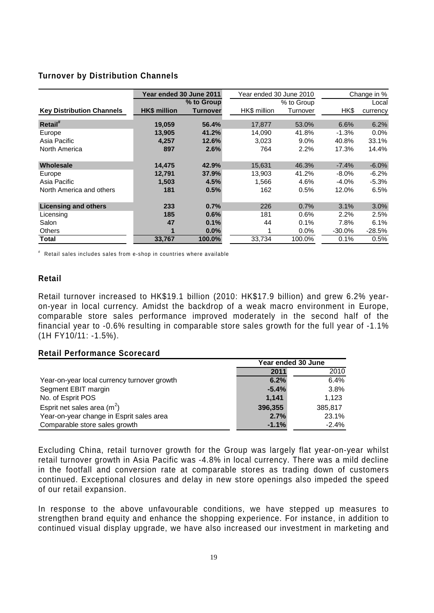#### **Turnover by Distribution Channels**

|                                  | Year ended 30 June 2011<br>Year ended 30 June 2010 |                 |              | Change in % |           |          |
|----------------------------------|----------------------------------------------------|-----------------|--------------|-------------|-----------|----------|
|                                  |                                                    | % to Group      |              | % to Group  |           | Local    |
| <b>Key Distribution Channels</b> | <b>HK\$</b> million                                | <b>Turnover</b> | HK\$ million | Turnover    | HK\$      | currency |
| Retail <sup>#</sup>              | 19.059                                             | 56.4%           | 17.877       | 53.0%       | 6.6%      | 6.2%     |
| Europe                           | 13,905                                             | 41.2%           | 14,090       | 41.8%       | $-1.3%$   | $0.0\%$  |
| Asia Pacific                     | 4,257                                              | 12.6%           | 3,023        | 9.0%        | 40.8%     | 33.1%    |
| North America                    | 897                                                | 2.6%            | 764          | 2.2%        | 17.3%     | 14.4%    |
| Wholesale                        | 14,475                                             | 42.9%           | 15,631       | 46.3%       | $-7.4%$   | $-6.0%$  |
| Europe                           | 12.791                                             | 37.9%           | 13,903       | 41.2%       | $-8.0\%$  | $-6.2\%$ |
| Asia Pacific                     | 1.503                                              | 4.5%            | 1.566        | 4.6%        | $-4.0\%$  | $-5.3%$  |
| North America and others         | 181                                                | 0.5%            | 162          | 0.5%        | 12.0%     | 6.5%     |
| <b>Licensing and others</b>      | 233                                                | 0.7%            | 226          | 0.7%        | 3.1%      | 3.0%     |
| Licensing                        | 185                                                | 0.6%            | 181          | 0.6%        | 2.2%      | 2.5%     |
| Salon                            | 47                                                 | 0.1%            | 44           | 0.1%        | 7.8%      | 6.1%     |
| <b>Others</b>                    | 1                                                  | $0.0\%$         |              | $0.0\%$     | $-30.0\%$ | $-28.5%$ |
| Total                            | 33,767                                             | 100.0%          | 33.734       | 100.0%      | 0.1%      | 0.5%     |

# Retail sales includes sales from e-shop in countries where available

#### **Retail**

Retail turnover increased to HK\$19.1 billion (2010: HK\$17.9 billion) and grew 6.2% yearon-year in local currency. Amidst the backdrop of a weak macro environment in Europe, comparable store sales performance improved moderately in the second half of the financial year to -0.6% resulting in comparable store sales growth for the full year of -1.1% (1H FY10/11: -1.5%).

#### **Retail Performance Scorecard**

|                                             | Year ended 30 June |         |  |
|---------------------------------------------|--------------------|---------|--|
|                                             | 2011               | 2010    |  |
| Year-on-year local currency turnover growth | 6.2%               | 6.4%    |  |
| Segment EBIT margin                         | $-5.4%$            | 3.8%    |  |
| No. of Esprit POS                           | 1,141              | 1,123   |  |
| Esprit net sales area $(m^2)$               | 396,355            | 385,817 |  |
| Year-on-year change in Esprit sales area    | 2.7%               | 23.1%   |  |
| Comparable store sales growth               | $-1.1%$            | $-2.4%$ |  |

Excluding China, retail turnover growth for the Group was largely flat year-on-year whilst retail turnover growth in Asia Pacific was -4.8% in local currency. There was a mild decline in the footfall and conversion rate at comparable stores as trading down of customers continued. Exceptional closures and delay in new store openings also impeded the speed of our retail expansion.

In response to the above unfavourable conditions, we have stepped up measures to strengthen brand equity and enhance the shopping experience. For instance, in addition to continued visual display upgrade, we have also increased our investment in marketing and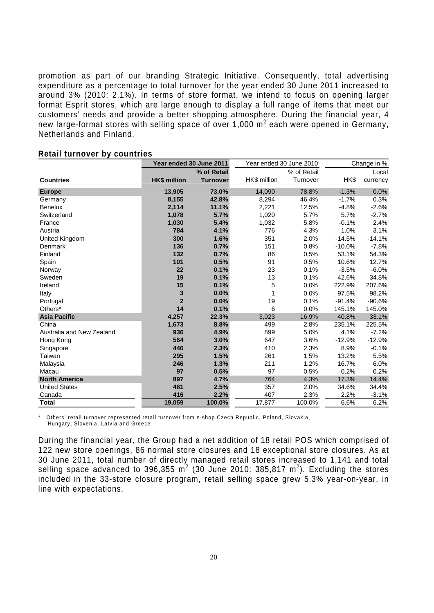promotion as part of our branding Strategic Initiative. Consequently, total advertising expenditure as a percentage to total turnover for the year ended 30 June 2011 increased to around 3% (2010: 2.1%). In terms of store format, we intend to focus on opening larger format Esprit stores, which are large enough to display a full range of items that meet our customers' needs and provide a better shopping atmosphere. During the financial year, 4 new large-format stores with selling space of over 1,000  $m^2$  each were opened in Germany, Netherlands and Finland.

|                           | Year ended 30 June 2011 |                 | Year ended 30 June 2010 |             | Change in % |          |
|---------------------------|-------------------------|-----------------|-------------------------|-------------|-------------|----------|
|                           |                         | % of Retail     |                         | % of Retail |             | Local    |
| <b>Countries</b>          | <b>HK\$ million</b>     | <b>Turnover</b> | HK\$ million            | Turnover    | HK\$        | currency |
| <b>Europe</b>             | 13,905                  | 73.0%           | 14,090                  | 78.8%       | $-1.3%$     | 0.0%     |
| Germany                   | 8,155                   | 42.8%           | 8,294                   | 46.4%       | $-1.7%$     | 0.3%     |
| <b>Benelux</b>            | 2,114                   | 11.1%           | 2,221                   | 12.5%       | $-4.8%$     | $-2.6%$  |
| Switzerland               | 1,078                   | 5.7%            | 1,020                   | 5.7%        | 5.7%        | $-2.7%$  |
| France                    | 1,030                   | 5.4%            | 1,032                   | 5.8%        | $-0.1%$     | 2.4%     |
| Austria                   | 784                     | 4.1%            | 776                     | 4.3%        | 1.0%        | 3.1%     |
| United Kingdom            | 300                     | 1.6%            | 351                     | 2.0%        | $-14.5%$    | $-14.1%$ |
| Denmark                   | 136                     | 0.7%            | 151                     | 0.8%        | $-10.0%$    | $-7.8%$  |
| Finland                   | 132                     | 0.7%            | 86                      | 0.5%        | 53.1%       | 54.3%    |
| Spain                     | 101                     | 0.5%            | 91                      | 0.5%        | 10.6%       | 12.7%    |
| Norway                    | 22                      | 0.1%            | 23                      | 0.1%        | $-3.5%$     | $-6.0%$  |
| Sweden                    | 19                      | 0.1%            | 13                      | 0.1%        | 42.6%       | 34.8%    |
| Ireland                   | 15                      | 0.1%            | 5                       | 0.0%        | 222.9%      | 207.6%   |
| Italy                     | 3                       | 0.0%            | 1                       | 0.0%        | 97.5%       | 98.2%    |
| Portugal                  | $\overline{2}$          | 0.0%            | 19                      | 0.1%        | $-91.4%$    | $-90.6%$ |
| Others*                   | 14                      | 0.1%            | 6                       | 0.0%        | 145.1%      | 145.0%   |
| <b>Asia Pacific</b>       | 4,257                   | 22.3%           | 3,023                   | 16.9%       | 40.8%       | 33.1%    |
| China                     | 1,673                   | 8.8%            | 499                     | 2.8%        | 235.1%      | 225.5%   |
| Australia and New Zealand | 936                     | 4.9%            | 899                     | 5.0%        | 4.1%        | $-7.2%$  |
| Hong Kong                 | 564                     | 3.0%            | 647                     | 3.6%        | $-12.9%$    | $-12.9%$ |
| Singapore                 | 446                     | 2.3%            | 410                     | 2.3%        | 8.9%        | $-0.1%$  |
| Taiwan                    | 295                     | 1.5%            | 261                     | 1.5%        | 13.2%       | 5.5%     |
| Malaysia                  | 246                     | 1.3%            | 211                     | 1.2%        | 16.7%       | 6.0%     |
| Macau                     | 97                      | 0.5%            | 97                      | 0.5%        | 0.2%        | 0.2%     |
| <b>North America</b>      | 897                     | 4.7%            | 764                     | 4.3%        | 17.3%       | 14.4%    |
| <b>United States</b>      | 481                     | 2.5%            | 357                     | 2.0%        | 34.6%       | 34.4%    |
| Canada                    | 416                     | 2.2%            | 407                     | 2.3%        | 2.2%        | $-3.1%$  |
| <b>Total</b>              | 19,059                  | 100.0%          | 17,877                  | 100.0%      | 6.6%        | 6.2%     |

#### **Retail turnover by countries**

Others' retail turnover represented retail turnover from e-shop Czech Republic, Poland, Slovakia, Hungary, Slovenia, Latvia and Greece

During the financial year, the Group had a net addition of 18 retail POS which comprised of 122 new store openings, 86 normal store closures and 18 exceptional store closures. As at 30 June 2011, total number of directly managed retail stores increased to 1,141 and total selling space advanced to 396,355  $m^2$  (30 June 2010: 385,817  $m^2$ ). Excluding the stores included in the 33-store closure program, retail selling space grew 5.3% year-on-year, in line with expectations.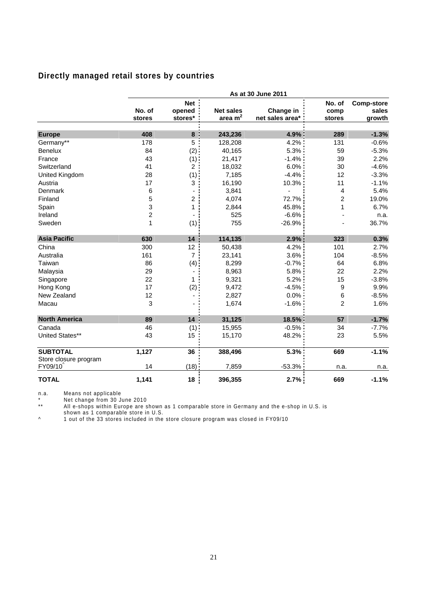# **Directly managed retail stores by countries**

|                                  |                         |                                 |                                                   | As at 30 June 2011           |                          |                                      |
|----------------------------------|-------------------------|---------------------------------|---------------------------------------------------|------------------------------|--------------------------|--------------------------------------|
|                                  | No. of<br>stores        | <b>Net</b><br>opened<br>stores* | <b>Net sales</b><br>area <sub>m<sup>2</sup></sub> | Change in<br>net sales area* | No. of<br>comp<br>stores | <b>Comp-store</b><br>sales<br>growth |
|                                  |                         |                                 |                                                   |                              |                          |                                      |
| <b>Europe</b>                    | 408                     | 8                               | 243,236                                           | 4.9%                         | 289                      | $-1.3%$                              |
| Germany**                        | 178                     | $\overline{5}$                  | 128,208                                           | 4.2%                         | 131                      | $-0.6%$                              |
| Benelux                          | 84                      | (2)                             | 40,165                                            | 5.3%                         | 59                       | $-5.3%$                              |
| France                           | 43                      | (1)                             | 21,417                                            | $-1.4%$                      | 39                       | 2.2%                                 |
| Switzerland                      | 41                      | $\overline{2}$                  | 18,032                                            | 6.0%                         | 30                       | $-4.6%$                              |
| United Kingdom                   | 28                      | (1)                             | 7,185                                             | $-4.4%$                      | 12                       | $-3.3%$                              |
| Austria                          | 17                      | 3                               | 16,190                                            | 10.3%                        | 11                       | $-1.1%$                              |
| Denmark                          | 6                       |                                 | 3,841                                             |                              | 4                        | 5.4%                                 |
| Finland                          | 5                       | 2                               | 4,074                                             | 72.7%                        | $\overline{c}$           | 19.0%                                |
| Spain                            | 3                       | 1                               | 2,844                                             | 45.8%                        | 1                        | 6.7%                                 |
| Ireland                          | $\overline{\mathbf{c}}$ |                                 | 525                                               | $-6.6%$                      |                          | n.a.                                 |
| Sweden                           | 1                       | (1)                             | 755                                               | $-26.9%$                     |                          | 36.7%                                |
| <b>Asia Pacific</b>              | 630                     | 14                              | 114,135                                           | 2.9%                         | 323                      | 0.3%                                 |
| China                            | 300                     | 12                              | 50,438                                            | 4.2%                         | 101                      | 2.7%                                 |
| Australia                        | 161                     | $\overline{7}$                  | 23,141                                            | 3.6%                         | 104                      | $-8.5%$                              |
| Taiwan                           | 86                      | (4)                             | 8,299                                             | $-0.7%$                      | 64                       | 6.8%                                 |
| Malaysia                         | 29                      |                                 | 8,963                                             | 5.8%                         | 22                       | 2.2%                                 |
| Singapore                        | 22                      | 1                               | 9,321                                             | 5.2%                         | 15                       | $-3.8%$                              |
| Hong Kong                        | 17                      | (2)                             | 9,472                                             | $-4.5%$                      | 9                        | 9.9%                                 |
| New Zealand                      | 12                      |                                 | 2,827                                             | 0.0%                         | 6                        | $-8.5%$                              |
| Macau                            | 3                       |                                 | 1,674                                             | $-1.6%$                      | $\overline{2}$           | 1.6%                                 |
| <b>North America</b>             | 89                      | 14                              | 31,125                                            | 18.5%                        | 57                       | $-1.7%$                              |
| Canada                           | 46                      | (1)                             | 15,955                                            | $-0.5%$                      | 34                       | $-7.7\%$                             |
| United States**                  | 43                      | 15                              | 15,170                                            | 48.2%                        | 23                       | 5.5%                                 |
| <b>SUBTOTAL</b>                  | 1,127                   | 36                              | 388,496                                           | 5.3%                         | 669                      | $-1.1%$                              |
| Store closure program<br>FY09/10 | 14                      | (18)                            | 7,859                                             | $-53.3%$                     | n.a.                     | n.a.                                 |
| <b>TOTAL</b>                     | 1,141                   | 18                              | 396,355                                           | 2.7%                         | 669                      | $-1.1%$                              |

n.a. Means not applicable

\* Net change from 30 June 2010

\*\* All e-shops within Europe are shown as 1 comparable store in Germany and the e-shop in U.S. is shown as 1 comparable store in U.S.

^ 1 out of the 33 stores included in the store closure program was closed in FY09/10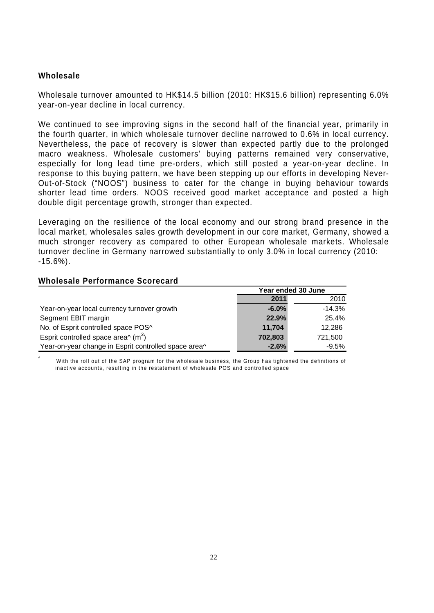### **Wholesale**

Wholesale turnover amounted to HK\$14.5 billion (2010: HK\$15.6 billion) representing 6.0% year-on-year decline in local currency.

We continued to see improving signs in the second half of the financial year, primarily in the fourth quarter, in which wholesale turnover decline narrowed to 0.6% in local currency. Nevertheless, the pace of recovery is slower than expected partly due to the prolonged macro weakness. Wholesale customers' buying patterns remained very conservative, especially for long lead time pre-orders, which still posted a year-on-year decline. In response to this buying pattern, we have been stepping up our efforts in developing Never-Out-of-Stock ("NOOS") business to cater for the change in buying behaviour towards shorter lead time orders. NOOS received good market acceptance and posted a high double digit percentage growth, stronger than expected.

Leveraging on the resilience of the local economy and our strong brand presence in the local market, wholesales sales growth development in our core market, Germany, showed a much stronger recovery as compared to other European wholesale markets. Wholesale turnover decline in Germany narrowed substantially to only 3.0% in local currency (2010:  $-15.6%$ ).

#### **Wholesale Performance Scorecard**

|                                                      |          | Year ended 30 June |  |  |
|------------------------------------------------------|----------|--------------------|--|--|
|                                                      | 2011     | 2010               |  |  |
| Year-on-year local currency turnover growth          | $-6.0\%$ | $-14.3%$           |  |  |
| Segment EBIT margin                                  | 22.9%    | 25.4%              |  |  |
| No. of Esprit controlled space POS^                  | 11.704   | 12.286             |  |  |
| Esprit controlled space area $(m^2)$                 | 702.803  | 721.500            |  |  |
| Year-on-year change in Esprit controlled space area^ | $-2.6%$  | $-9.5%$            |  |  |

^ With the roll out of the SAP program for the wholesale business, the Group has tightened the definitions of inactive accounts, resulting in the restatement of wholesale POS and controlled space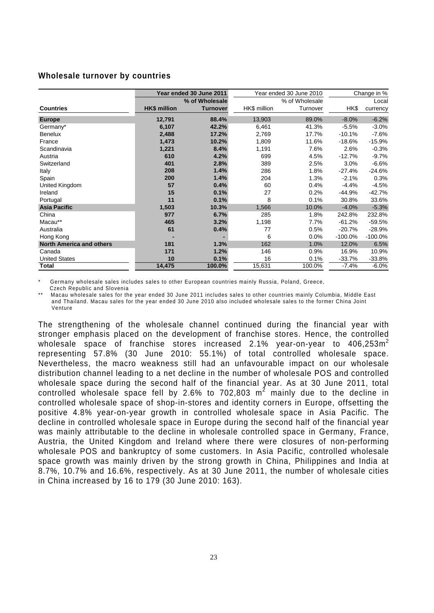#### **Wholesale turnover by countries**

|                                 |                     | Year ended 30 June 2011 |              | Year ended 30 June 2010 | Change in % |           |  |
|---------------------------------|---------------------|-------------------------|--------------|-------------------------|-------------|-----------|--|
|                                 |                     | % of Wholesale          |              | % of Wholesale          |             | Local     |  |
| <b>Countries</b>                | <b>HK\$</b> million | <b>Turnover</b>         | HK\$ million | Turnover                | HK\$        | currency  |  |
| <b>Europe</b>                   | 12,791              | 88.4%                   | 13,903       | 89.0%                   | $-8.0\%$    | $-6.2%$   |  |
| Germany*                        | 6,107               | 42.2%                   | 6,461        | 41.3%                   | $-5.5%$     | $-3.0%$   |  |
| <b>Benelux</b>                  | 2,488               | 17.2%                   | 2,769        | 17.7%                   | $-10.1%$    | $-7.6%$   |  |
| France                          | 1,473               | 10.2%                   | 1,809        | 11.6%                   | $-18.6%$    | $-15.9%$  |  |
| Scandinavia                     | 1,221               | 8.4%                    | 1,191        | 7.6%                    | 2.6%        | $-0.3%$   |  |
| Austria                         | 610                 | 4.2%                    | 699          | 4.5%                    | $-12.7%$    | $-9.7%$   |  |
| Switzerland                     | 401                 | 2.8%                    | 389          | 2.5%                    | 3.0%        | $-6.6%$   |  |
| Italy                           | 208                 | 1.4%                    | 286          | 1.8%                    | $-27.4%$    | $-24.6%$  |  |
| Spain                           | 200                 | 1.4%                    | 204          | 1.3%                    | $-2.1%$     | 0.3%      |  |
| United Kingdom                  | 57                  | 0.4%                    | 60           | 0.4%                    | $-4.4%$     | $-4.5%$   |  |
| Ireland                         | 15                  | 0.1%                    | 27           | 0.2%                    | -44.9%      | $-42.7%$  |  |
| Portugal                        | 11                  | 0.1%                    | 8            | 0.1%                    | 30.8%       | 33.6%     |  |
| <b>Asia Pacific</b>             | 1,503               | 10.3%                   | 1,566        | 10.0%                   | $-4.0%$     | $-5.3%$   |  |
| China                           | 977                 | 6.7%                    | 285          | 1.8%                    | 242.8%      | 232.8%    |  |
| Macau**                         | 465                 | 3.2%                    | 1,198        | 7.7%                    | $-61.2%$    | $-59.5%$  |  |
| Australia                       | 61                  | 0.4%                    | 77           | 0.5%                    | $-20.7%$    | $-28.9%$  |  |
| Hong Kong                       |                     |                         | 6            | 0.0%                    | $-100.0\%$  | $-100.0%$ |  |
| <b>North America and others</b> | 181                 | 1.3%                    | 162          | 1.0%                    | 12.0%       | 6.5%      |  |
| Canada                          | 171                 | 1.2%                    | 146          | 0.9%                    | 16.9%       | 10.9%     |  |
| <b>United States</b>            | 10                  | 0.1%                    | 16           | 0.1%                    | $-33.7%$    | $-33.8%$  |  |
| <b>Total</b>                    | 14,475              | 100.0%                  | 15,631       | 100.0%                  | $-7.4%$     | $-6.0%$   |  |

Germany wholesale sales includes sales to other European countries mainly Russia, Poland, Greece,

Czech Republic and Slovenia

Macau wholesale sales for the year ended 30 June 2011 includes sales to other countries mainly Columbia, Middle East and Thailand. Macau sales for the year ended 30 June 2010 also included wholesale sales to the former China Joint Venture

The strengthening of the wholesale channel continued during the financial year with stronger emphasis placed on the development of franchise stores. Hence, the controlled wholesale space of franchise stores increased 2.1% year-on-year to  $406,253m^2$ representing 57.8% (30 June 2010: 55.1%) of total controlled wholesale space. Nevertheless, the macro weakness still had an unfavourable impact on our wholesale distribution channel leading to a net decline in the number of wholesale POS and controlled wholesale space during the second half of the financial year. As at 30 June 2011, total controlled wholesale space fell by 2.6% to 702,803  $m^2$  mainly due to the decline in controlled wholesale space of shop-in-stores and identity corners in Europe, offsetting the positive 4.8% year-on-year growth in controlled wholesale space in Asia Pacific. The decline in controlled wholesale space in Europe during the second half of the financial year was mainly attributable to the decline in wholesale controlled space in Germany, France, Austria, the United Kingdom and Ireland where there were closures of non-performing wholesale POS and bankruptcy of some customers. In Asia Pacific, controlled wholesale space growth was mainly driven by the strong growth in China, Philippines and India at 8.7%, 10.7% and 16.6%, respectively. As at 30 June 2011, the number of wholesale cities in China increased by 16 to 179 (30 June 2010: 163).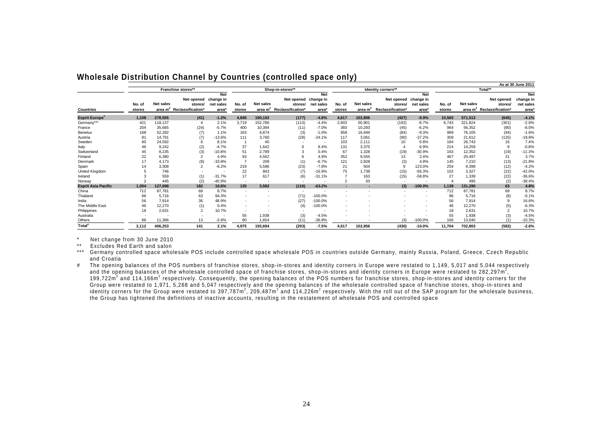|                            |                  |                  |                                                                          |                                  |                  |                  |                                                                          |                                  |                  |                               |                                                      |                                  |                  |                  |                                                                | As at 30 June 2011                            |
|----------------------------|------------------|------------------|--------------------------------------------------------------------------|----------------------------------|------------------|------------------|--------------------------------------------------------------------------|----------------------------------|------------------|-------------------------------|------------------------------------------------------|----------------------------------|------------------|------------------|----------------------------------------------------------------|-----------------------------------------------|
|                            |                  |                  | Franchise stores**                                                       |                                  |                  |                  | Shop-in-stores**                                                         |                                  |                  |                               | Identity corners**                                   |                                  |                  |                  | Total**                                                        |                                               |
| <b>Countries</b>           | No. of<br>stores | <b>Net sales</b> | Net opened change in<br>stores/<br>area m <sup>2</sup> Reclassification' | <b>Net</b><br>net sales<br>area* | No. of<br>stores | <b>Net sales</b> | Net opened change in<br>stores/<br>area m <sup>2</sup> Reclassification* | <b>Net</b><br>net sales<br>area* | No. of<br>stores | <b>Net sales</b><br>area $m2$ | Net opened change in<br>stores/<br>Reclassification* | <b>Net</b><br>net sales<br>area* | No. of<br>stores | <b>Net sales</b> | Net opened<br>stores/<br>area m <sup>2</sup> Reclassification* | <b>Net</b><br>change in<br>net sales<br>area* |
| <b>Esprit Europe</b>       | 1,108            | 278,555          | (41)                                                                     | $-1.3%$                          | 4,840            | 190,102          | (177)                                                                    | $-4.8%$                          | 4.617            | 102,856                       | (427)                                                | $-9.9%$                          | 10,565           | 571,513          | (645)                                                          | $-4.1%$                                       |
| Germany***                 | 421              | 118,137          | $\overline{4}$                                                           | 2.1%                             | 3.719            | 152,786          | (113)                                                                    | $-4.4%$                          | 2,603            | 50,901                        | (192)                                                | $-8.7%$                          | 6,743            | 321,824          | (301)                                                          | $-2.9%$                                       |
| France                     | 204              | 35,665           | (24)                                                                     | $-5.7%$                          | 400              | 10,394           | (11)                                                                     | $-7.0%$                          | 360              | 10,293                        | (45)                                                 | $-6.2%$                          | 964              | 56,352           | (80)                                                           | $-6.0%$                                       |
| Benelux                    | 168              | 52,282           | (7)                                                                      | 1.1%                             | 163              | 6,874            | (3)                                                                      | $-1.0%$                          | 658              | 16,949                        | (84)                                                 | $-9.3%$                          | 989              | 76,105           | (94)                                                           | $-1.6%$                                       |
| Austria                    | 81               | 14,791           | (7)                                                                      | $-13.6%$                         | 111              | 3,760            | (28)                                                                     | $-24.1%$                         | 117              | 3,061                         | (90)                                                 | -37.2%                           | 309              | 21,612           | (125)                                                          | $-19.8%$                                      |
| Sweden                     | 80               | 24,592           | 6                                                                        | 8.1%                             |                  | 40               |                                                                          | $\overline{\phantom{a}}$         | 103              | 2,111                         | 10                                                   | 0.8%                             | 184              | 26,743           | 16                                                             | 7.4%                                          |
| Italy                      | 46               | 9,242            | (2)                                                                      | $-4.7%$                          | 37               | 1,642            |                                                                          | 8.4%                             | 131              | 3,375                         |                                                      | 6.9%                             | 214              | 14,259           | 8                                                              | $-0.8%$                                       |
| Switzerland                | 45               | 8,235            | (3)                                                                      | $-10.8%$                         | 51               | 2,789            |                                                                          | 0.4%                             | 67               | 1,328                         | (19)                                                 | $-30.9%$                         | 163              | 12,352           | (19)                                                           | $-11.3%$                                      |
| Finland                    | 22               | 6,380            | $\overline{2}$                                                           | 4.9%                             | 93               | 4,562            |                                                                          | 4.9%                             | 352              | 9,555                         | 13                                                   | 2.4%                             | 467              | 20,497           | 21                                                             | 3.7%                                          |
| Denmark                    | 17               | 4,173            | (9)                                                                      | $-33.8%$                         |                  | 209              | (1)                                                                      | $-6.7%$                          | 121              | 2,828                         | (3)                                                  | 4.9%                             | 145              | 7,210            | (13)                                                           | $-21.8%$                                      |
| Spain                      |                  | 3,308            |                                                                          | $-6.2%$                          | 219              | 5,586            | (23)                                                                     | $-7.8%$                          | 21               | 504                           | 9                                                    | 123.0%                           | 254              | 9,398            | (12)                                                           | $-4.2%$                                       |
| United Kingdom             |                  | 746              |                                                                          |                                  | 22               | 843              | (7)                                                                      | $-16.9%$                         | 75               | .738                          | (15)                                                 | $-56.3%$                         | 102              | 3,327            | (22)                                                           | $-42.0%$                                      |
| Ireland                    |                  | 559              | (1)                                                                      | $-31.7%$                         | 17               | 617              | (6)                                                                      | $-31.1%$                         |                  | 163                           | (15)                                                 | $-58.8%$                         | 27               | 1,339            | (22)                                                           | $-36.6%$                                      |
| Norway                     |                  | 445              | (2)                                                                      | $-40.9%$                         |                  |                  |                                                                          | $\overline{\phantom{a}}$         |                  | 50                            |                                                      |                                  |                  | 495              | (2)                                                            | $-38.4%$                                      |
| <b>Esprit Asia Pacific</b> | 1.004            | 127.698          | 182                                                                      | 10.6%                            | 135              | 3,592            | (116)                                                                    | $-63.2%$                         |                  |                               | (3)                                                  | $-100.0%$                        | 1.139            | 131.290          | 63                                                             | 4.8%                                          |
| China                      | 712              | 87,781           | 69                                                                       | 8.7%                             | <b>1999</b>      | $\sim$           | <b>.</b>                                                                 | $\overline{\phantom{a}}$         | ٠                |                               |                                                      | $\sim$                           | 712              | 87,781           | 69                                                             | 8.7%                                          |
| Thailand                   | 86               | 5.716            | 63                                                                       | 94.3%                            |                  |                  | (71)                                                                     | $-100.0%$                        |                  |                               |                                                      |                                  | 86               | 5.716            | (8)                                                            | $-0.1%$                                       |
| India                      | 56               | 7,914            | 36                                                                       | 48.9%                            |                  |                  | (27)                                                                     | $-100.0%$                        |                  |                               |                                                      |                                  | 56               | 7,914            | 9                                                              | 16.6%                                         |
| The Middle East            | 46               | 12,270           | (1)                                                                      | 0.4%                             |                  |                  | (4)                                                                      | $-100.0%$                        |                  |                               |                                                      |                                  | 46               | 12,270           | (5)                                                            | $-6.3%$                                       |
| Philippines                | 18               | 2,631            | $\overline{2}$                                                           | 10.7%                            |                  |                  |                                                                          |                                  |                  |                               |                                                      |                                  | 18               | 2,631            | $\overline{\phantom{a}}$                                       | 10.7%                                         |
| Australia                  |                  |                  |                                                                          |                                  | 55               | 1,938            | (3)                                                                      | $-4.5%$                          |                  |                               |                                                      |                                  | 55               | 1.938            | (3)                                                            | $-4.5%$                                       |
| Others                     | 86               | 11,386           | 13                                                                       | $-3.9%$                          | 80               | 1,654            | (11)                                                                     | $-36.8%$                         |                  |                               | (3)                                                  | $-100.0%$                        | 166              | 13,040           | (1)                                                            | $-10.3%$                                      |
| Total <sup>#</sup>         | 2,112            | 406,253          | 141                                                                      | 2.1%                             | 4,975            | 193,694          | (293)                                                                    | $-7.5%$                          | 4,617            | 102,856                       | (430)                                                | $-10.0%$                         | 11,704           | 702.803          | (582)                                                          | $-2.6%$                                       |

#### **Wholesale Distribution Channel by Countries (controlled space only)**

\* Net change from 30 June 2010

\*\* Excludes Red Earth and salon

\*\*\* Germany controlled space wholesale POS include controlled space wholesale POS in countries outside Germany, mainly Russia, Poland, Greece, Czech Republic and Croatia

# The opening balances of the POS numbers of franchise stores, shop-in-stores and identity corners in Europe were restated to 1,149, 5,017 and 5,044 respectively and the opening balances of the wholesale controlled space of franchise stores, shop-in-stores and identity corners in Europe were restated to 282,297m<sup>2</sup>, 199,722m<sup>2</sup> and 114,166m<sup>2</sup> respectively. Consequently, the opening balances of the POS numbers for franchise stores, shop-in-stores and identity corners for the Group were restated to 1,971, 5,268 and 5,047 respectively and the opening balances of the wholesale controlled space of franchise stores, shop-in-stores and identity corners for the Group were restated to  $397.787m^2$ , 209,487 $m^2$  and 114,226 $m^2$  respectively. With the roll out of the SAP program for the wholesale business, the Group has tightened the definitions of inactive accounts, resulting in the restatement of wholesale POS and controlled space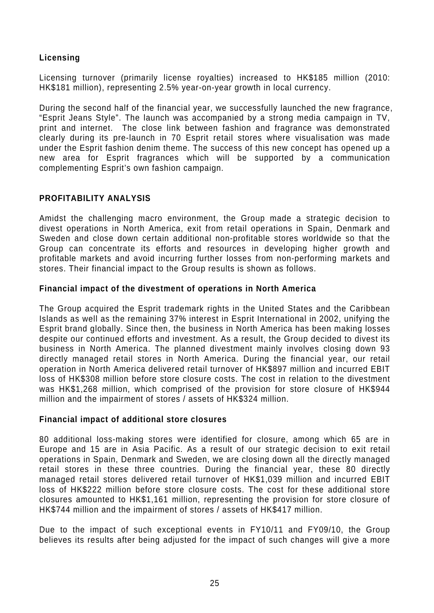# **Licensing**

Licensing turnover (primarily license royalties) increased to HK\$185 million (2010: HK\$181 million), representing 2.5% year-on-year growth in local currency.

During the second half of the financial year, we successfully launched the new fragrance, "Esprit Jeans Style". The launch was accompanied by a strong media campaign in TV, print and internet. The close link between fashion and fragrance was demonstrated clearly during its pre-launch in 70 Esprit retail stores where visualisation was made under the Esprit fashion denim theme. The success of this new concept has opened up a new area for Esprit fragrances which will be supported by a communication complementing Esprit's own fashion campaign.

# **PROFITABILITY ANALYSIS**

Amidst the challenging macro environment, the Group made a strategic decision to divest operations in North America, exit from retail operations in Spain, Denmark and Sweden and close down certain additional non-profitable stores worldwide so that the Group can concentrate its efforts and resources in developing higher growth and profitable markets and avoid incurring further losses from non-performing markets and stores. Their financial impact to the Group results is shown as follows.

# **Financial impact of the divestment of operations in North America**

The Group acquired the Esprit trademark rights in the United States and the Caribbean Islands as well as the remaining 37% interest in Esprit International in 2002, unifying the Esprit brand globally. Since then, the business in North America has been making losses despite our continued efforts and investment. As a result, the Group decided to divest its business in North America. The planned divestment mainly involves closing down 93 directly managed retail stores in North America. During the financial year, our retail operation in North America delivered retail turnover of HK\$897 million and incurred EBIT loss of HK\$308 million before store closure costs. The cost in relation to the divestment was HK\$1,268 million, which comprised of the provision for store closure of HK\$944 million and the impairment of stores / assets of HK\$324 million.

### **Financial impact of additional store closures**

80 additional loss-making stores were identified for closure, among which 65 are in Europe and 15 are in Asia Pacific. As a result of our strategic decision to exit retail operations in Spain, Denmark and Sweden, we are closing down all the directly managed retail stores in these three countries. During the financial year, these 80 directly managed retail stores delivered retail turnover of HK\$1,039 million and incurred EBIT loss of HK\$222 million before store closure costs. The cost for these additional store closures amounted to HK\$1,161 million, representing the provision for store closure of HK\$744 million and the impairment of stores / assets of HK\$417 million.

Due to the impact of such exceptional events in FY10/11 and FY09/10, the Group believes its results after being adjusted for the impact of such changes will give a more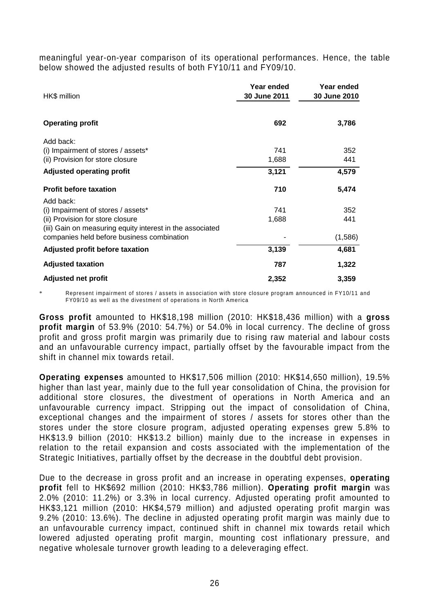meaningful year-on-year comparison of its operational performances. Hence, the table below showed the adjusted results of both FY10/11 and FY09/10.

| HK\$ million                                              | Year ended<br>30 June 2011 | Year ended<br>30 June 2010 |
|-----------------------------------------------------------|----------------------------|----------------------------|
| <b>Operating profit</b>                                   | 692                        | 3,786                      |
| Add back:                                                 |                            |                            |
| (i) Impairment of stores / assets*                        | 741                        | 352                        |
| (ii) Provision for store closure                          | 1,688                      | 441                        |
| <b>Adjusted operating profit</b>                          | 3,121                      | 4,579                      |
| <b>Profit before taxation</b>                             | 710                        | 5,474                      |
| Add back:                                                 |                            |                            |
| (i) Impairment of stores / assets*                        | 741                        | 352                        |
| (ii) Provision for store closure                          | 1,688                      | 441                        |
| (iii) Gain on measuring equity interest in the associated |                            |                            |
| companies held before business combination                |                            | (1,586)                    |
| Adjusted profit before taxation                           | 3,139                      | 4,681                      |
| <b>Adjusted taxation</b>                                  | 787                        | 1,322                      |
| <b>Adjusted net profit</b>                                | 2,352                      | 3,359                      |

Represent impairment of stores / assets in association with store closure program announced in FY10/11 and FY09/10 as well as the divestment of operations in North America

**Gross profit** amounted to HK\$18,198 million (2010: HK\$18,436 million) with a **gross profit margin** of 53.9% (2010: 54.7%) or 54.0% in local currency. The decline of gross profit and gross profit margin was primarily due to rising raw material and labour costs and an unfavourable currency impact, partially offset by the favourable impact from the shift in channel mix towards retail.

**Operating expenses** amounted to HK\$17,506 million (2010: HK\$14,650 million), 19.5% higher than last year, mainly due to the full year consolidation of China, the provision for additional store closures, the divestment of operations in North America and an unfavourable currency impact. Stripping out the impact of consolidation of China, exceptional changes and the impairment of stores / assets for stores other than the stores under the store closure program, adjusted operating expenses grew 5.8% to HK\$13.9 billion (2010: HK\$13.2 billion) mainly due to the increase in expenses in relation to the retail expansion and costs associated with the implementation of the Strategic Initiatives, partially offset by the decrease in the doubtful debt provision.

Due to the decrease in gross profit and an increase in operating expenses, **operating profit** fell to HK\$692 million (2010: HK\$3,786 million). **Operating profit margin** was 2.0% (2010: 11.2%) or 3.3% in local currency. Adjusted operating profit amounted to HK\$3,121 million (2010: HK\$4,579 million) and adjusted operating profit margin was 9.2% (2010: 13.6%). The decline in adjusted operating profit margin was mainly due to an unfavourable currency impact, continued shift in channel mix towards retail which lowered adjusted operating profit margin, mounting cost inflationary pressure, and negative wholesale turnover growth leading to a deleveraging effect.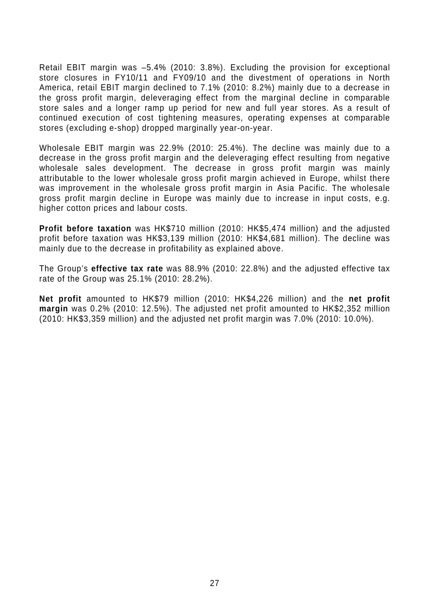Retail EBIT margin was –5.4% (2010: 3.8%). Excluding the provision for exceptional store closures in FY10/11 and FY09/10 and the divestment of operations in North America, retail EBIT margin declined to 7.1% (2010: 8.2%) mainly due to a decrease in the gross profit margin, deleveraging effect from the marginal decline in comparable store sales and a longer ramp up period for new and full year stores. As a result of continued execution of cost tightening measures, operating expenses at comparable stores (excluding e-shop) dropped marginally year-on-year.

Wholesale EBIT margin was 22.9% (2010: 25.4%). The decline was mainly due to a decrease in the gross profit margin and the deleveraging effect resulting from negative wholesale sales development. The decrease in gross profit margin was mainly attributable to the lower wholesale gross profit margin achieved in Europe, whilst there was improvement in the wholesale gross profit margin in Asia Pacific. The wholesale gross profit margin decline in Europe was mainly due to increase in input costs, e.g. higher cotton prices and labour costs.

**Profit before taxation** was HK\$710 million (2010: HK\$5,474 million) and the adjusted profit before taxation was HK\$3,139 million (2010: HK\$4,681 million). The decline was mainly due to the decrease in profitability as explained above.

The Group's **effective tax rate** was 88.9% (2010: 22.8%) and the adjusted effective tax rate of the Group was 25.1% (2010: 28.2%).

**Net profit** amounted to HK\$79 million (2010: HK\$4,226 million) and the **net profit margin** was 0.2% (2010: 12.5%). The adjusted net profit amounted to HK\$2,352 million (2010: HK\$3,359 million) and the adjusted net profit margin was 7.0% (2010: 10.0%).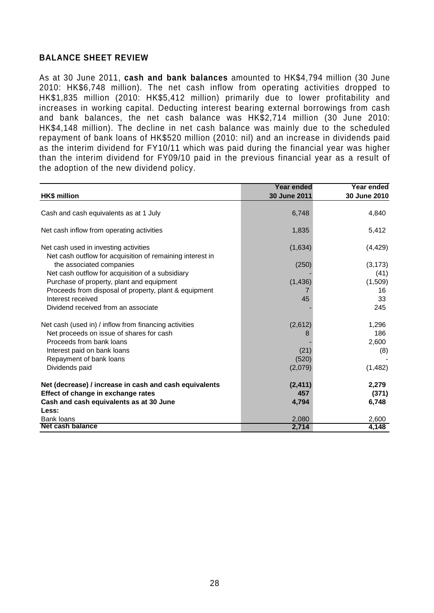## **BALANCE SHEET REVIEW**

As at 30 June 2011, **cash and bank balances** amounted to HK\$4,794 million (30 June 2010: HK\$6,748 million). The net cash inflow from operating activities dropped to HK\$1,835 million (2010: HK\$5,412 million) primarily due to lower profitability and increases in working capital. Deducting interest bearing external borrowings from cash and bank balances, the net cash balance was HK\$2,714 million (30 June 2010: HK\$4,148 million). The decline in net cash balance was mainly due to the scheduled repayment of bank loans of HK\$520 million (2010: nil) and an increase in dividends paid as the interim dividend for FY10/11 which was paid during the financial year was higher than the interim dividend for FY09/10 paid in the previous financial year as a result of the adoption of the new dividend policy.

|                                                                                                    | <b>Year ended</b> | Year ended       |
|----------------------------------------------------------------------------------------------------|-------------------|------------------|
| <b>HK\$</b> million                                                                                | 30 June 2011      | 30 June 2010     |
| Cash and cash equivalents as at 1 July                                                             | 6,748             | 4,840            |
| Net cash inflow from operating activities                                                          | 1,835             | 5,412            |
| Net cash used in investing activities<br>Net cash outflow for acquisition of remaining interest in | (1,634)           | (4, 429)         |
| the associated companies<br>Net cash outflow for acquisition of a subsidiary                       | (250)             | (3, 173)<br>(41) |
| Purchase of property, plant and equipment                                                          | (1, 436)          | (1,509)          |
| Proceeds from disposal of property, plant & equipment                                              |                   | 16               |
| Interest received                                                                                  | 45                | 33               |
| Dividend received from an associate                                                                |                   | 245              |
| Net cash (used in) / inflow from financing activities                                              | (2,612)           | 1,296            |
| Net proceeds on issue of shares for cash                                                           |                   | 186              |
| Proceeds from bank loans                                                                           |                   | 2,600            |
| Interest paid on bank loans                                                                        | (21)              | (8)              |
| Repayment of bank loans                                                                            | (520)             |                  |
| Dividends paid                                                                                     | (2,079)           | (1,482)          |
| Net (decrease) / increase in cash and cash equivalents                                             | (2, 411)          | 2,279            |
| Effect of change in exchange rates                                                                 | 457               | (371)            |
| Cash and cash equivalents as at 30 June                                                            | 4,794             | 6,748            |
| Less:                                                                                              |                   |                  |
| <b>Bank loans</b>                                                                                  | 2,080             | 2,600            |
| Net cash balance                                                                                   | 2,714             | 4,148            |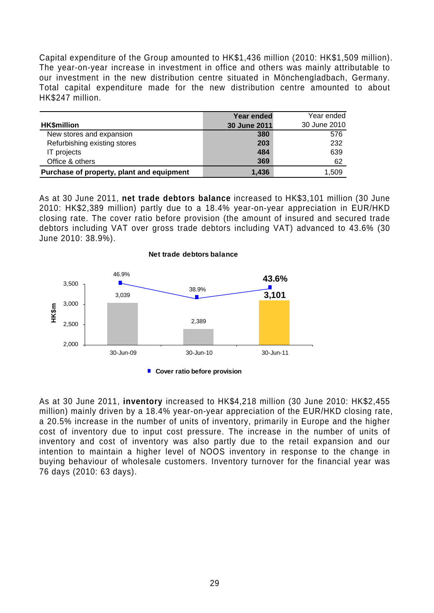Capital expenditure of the Group amounted to HK\$1,436 million (2010: HK\$1,509 million). The year-on-year increase in investment in office and others was mainly attributable to our investment in the new distribution centre situated in Mönchengladbach, Germany. Total capital expenditure made for the new distribution centre amounted to about HK\$247 million.

|                                           | Year ended   | Year ended   |
|-------------------------------------------|--------------|--------------|
| <b>HK\$million</b>                        | 30 June 2011 | 30 June 2010 |
| New stores and expansion                  | 380          | 576          |
| Refurbishing existing stores              | 203          | 232          |
| IT projects                               | 484          | 639          |
| Office & others                           | 369          | 62           |
| Purchase of property, plant and equipment | 1.436        | 1,509        |

As at 30 June 2011, **net trade debtors balance** increased to HK\$3,101 million (30 June 2010: HK\$2,389 million) partly due to a 18.4% year-on-year appreciation in EUR/HKD closing rate. The cover ratio before provision (the amount of insured and secured trade debtors including VAT over gross trade debtors including VAT) advanced to 43.6% (30 June 2010: 38.9%).



As at 30 June 2011, **inventory** increased to HK\$4,218 million (30 June 2010: HK\$2,455 million) mainly driven by a 18.4% year-on-year appreciation of the EUR/HKD closing rate, a 20.5% increase in the number of units of inventory, primarily in Europe and the higher cost of inventory due to input cost pressure. The increase in the number of units of inventory and cost of inventory was also partly due to the retail expansion and our intention to maintain a higher level of NOOS inventory in response to the change in buying behaviour of wholesale customers. Inventory turnover for the financial year was 76 days (2010: 63 days).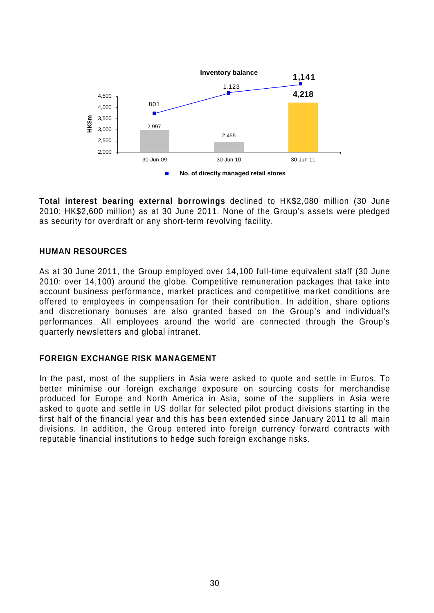

**Total interest bearing external borrowings** declined to HK\$2,080 million (30 June 2010: HK\$2,600 million) as at 30 June 2011. None of the Group's assets were pledged as security for overdraft or any short-term revolving facility.

# **HUMAN RESOURCES**

As at 30 June 2011, the Group employed over 14,100 full-time equivalent staff (30 June 2010: over 14,100) around the globe. Competitive remuneration packages that take into account business performance, market practices and competitive market conditions are offered to employees in compensation for their contribution. In addition, share options and discretionary bonuses are also granted based on the Group's and individual's performances. All employees around the world are connected through the Group's quarterly newsletters and global intranet.

### **FOREIGN EXCHANGE RISK MANAGEMENT**

In the past, most of the suppliers in Asia were asked to quote and settle in Euros. To better minimise our foreign exchange exposure on sourcing costs for merchandise produced for Europe and North America in Asia, some of the suppliers in Asia were asked to quote and settle in US dollar for selected pilot product divisions starting in the first half of the financial year and this has been extended since January 2011 to all main divisions. In addition, the Group entered into foreign currency forward contracts with reputable financial institutions to hedge such foreign exchange risks.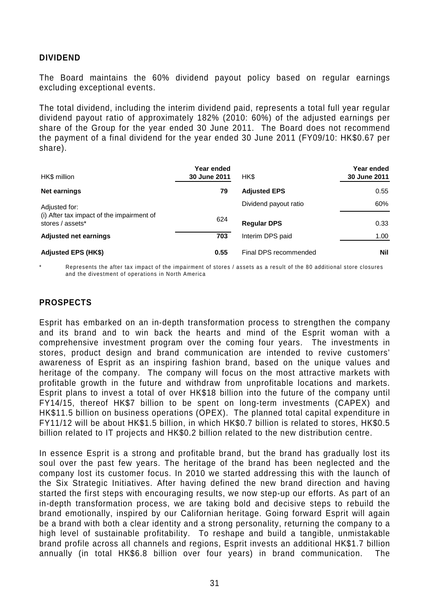### **DIVIDEND**

The Board maintains the 60% dividend payout policy based on regular earnings excluding exceptional events.

The total dividend, including the interim dividend paid, represents a total full year regular dividend payout ratio of approximately 182% (2010: 60%) of the adjusted earnings per share of the Group for the year ended 30 June 2011. The Board does not recommend the payment of a final dividend for the year ended 30 June 2011 (FY09/10: HK\$0.67 per share).

| HK\$ million                                                  | Year ended<br>30 June 2011 | HK\$                  | Year ended<br>30 June 2011 |
|---------------------------------------------------------------|----------------------------|-----------------------|----------------------------|
| <b>Net earnings</b>                                           | 79                         | <b>Adjusted EPS</b>   | 0.55                       |
| Adjusted for:                                                 |                            | Dividend payout ratio | 60%                        |
| (i) After tax impact of the impairment of<br>stores / assets* | 624                        | <b>Regular DPS</b>    | 0.33                       |
| <b>Adjusted net earnings</b>                                  | 703                        | Interim DPS paid      | 1.00                       |
| <b>Adjusted EPS (HK\$)</b>                                    | 0.55                       | Final DPS recommended | <b>Nil</b>                 |

Represents the after tax impact of the impairment of stores / assets as a result of the 80 additional store closures and the divestment of operations in North America

### **PROSPECTS**

Esprit has embarked on an in-depth transformation process to strengthen the company and its brand and to win back the hearts and mind of the Esprit woman with a comprehensive investment program over the coming four years. The investments in stores, product design and brand communication are intended to revive customers' awareness of Esprit as an inspiring fashion brand, based on the unique values and heritage of the company. The company will focus on the most attractive markets with profitable growth in the future and withdraw from unprofitable locations and markets. Esprit plans to invest a total of over HK\$18 billion into the future of the company until FY14/15, thereof HK\$7 billion to be spent on long-term investments (CAPEX) and HK\$11.5 billion on business operations (OPEX). The planned total capital expenditure in FY11/12 will be about HK\$1.5 billion, in which HK\$0.7 billion is related to stores, HK\$0.5 billion related to IT projects and HK\$0.2 billion related to the new distribution centre.

In essence Esprit is a strong and profitable brand, but the brand has gradually lost its soul over the past few years. The heritage of the brand has been neglected and the company lost its customer focus. In 2010 we started addressing this with the launch of the Six Strategic Initiatives. After having defined the new brand direction and having started the first steps with encouraging results, we now step-up our efforts. As part of an in-depth transformation process, we are taking bold and decisive steps to rebuild the brand emotionally, inspired by our Californian heritage. Going forward Esprit will again be a brand with both a clear identity and a strong personality, returning the company to a high level of sustainable profitability. To reshape and build a tangible, unmistakable brand profile across all channels and regions, Esprit invests an additional HK\$1.7 billion annually (in total HK\$6.8 billion over four years) in brand communication. The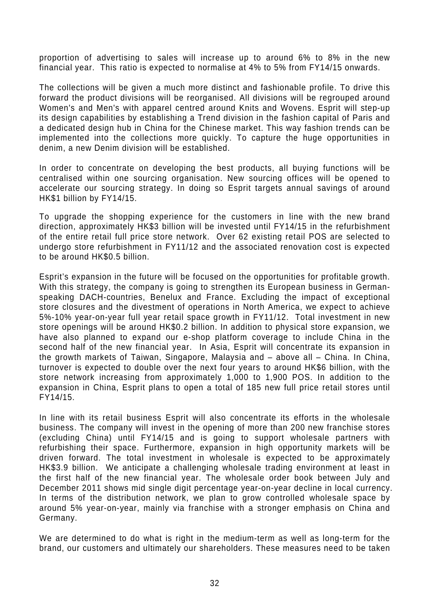proportion of advertising to sales will increase up to around 6% to 8% in the new financial year. This ratio is expected to normalise at 4% to 5% from FY14/15 onwards.

The collections will be given a much more distinct and fashionable profile. To drive this forward the product divisions will be reorganised. All divisions will be regrouped around Women's and Men's with apparel centred around Knits and Wovens. Esprit will step-up its design capabilities by establishing a Trend division in the fashion capital of Paris and a dedicated design hub in China for the Chinese market. This way fashion trends can be implemented into the collections more quickly. To capture the huge opportunities in denim, a new Denim division will be established.

In order to concentrate on developing the best products, all buying functions will be centralised within one sourcing organisation. New sourcing offices will be opened to accelerate our sourcing strategy. In doing so Esprit targets annual savings of around HK\$1 billion by FY14/15.

To upgrade the shopping experience for the customers in line with the new brand direction, approximately HK\$3 billion will be invested until FY14/15 in the refurbishment of the entire retail full price store network. Over 62 existing retail POS are selected to undergo store refurbishment in FY11/12 and the associated renovation cost is expected to be around HK\$0.5 billion.

Esprit's expansion in the future will be focused on the opportunities for profitable growth. With this strategy, the company is going to strengthen its European business in Germanspeaking DACH-countries, Benelux and France. Excluding the impact of exceptional store closures and the divestment of operations in North America, we expect to achieve 5%-10% year-on-year full year retail space growth in FY11/12. Total investment in new store openings will be around HK\$0.2 billion. In addition to physical store expansion, we have also planned to expand our e-shop platform coverage to include China in the second half of the new financial year. In Asia, Esprit will concentrate its expansion in the growth markets of Taiwan, Singapore, Malaysia and – above all – China. In China, turnover is expected to double over the next four years to around HK\$6 billion, with the store network increasing from approximately 1,000 to 1,900 POS. In addition to the expansion in China, Esprit plans to open a total of 185 new full price retail stores until FY14/15.

In line with its retail business Esprit will also concentrate its efforts in the wholesale business. The company will invest in the opening of more than 200 new franchise stores (excluding China) until FY14/15 and is going to support wholesale partners with refurbishing their space. Furthermore, expansion in high opportunity markets will be driven forward. The total investment in wholesale is expected to be approximately HK\$3.9 billion. We anticipate a challenging wholesale trading environment at least in the first half of the new financial year. The wholesale order book between July and December 2011 shows mid single digit percentage year-on-year decline in local currency. In terms of the distribution network, we plan to grow controlled wholesale space by around 5% year-on-year, mainly via franchise with a stronger emphasis on China and Germany.

We are determined to do what is right in the medium-term as well as long-term for the brand, our customers and ultimately our shareholders. These measures need to be taken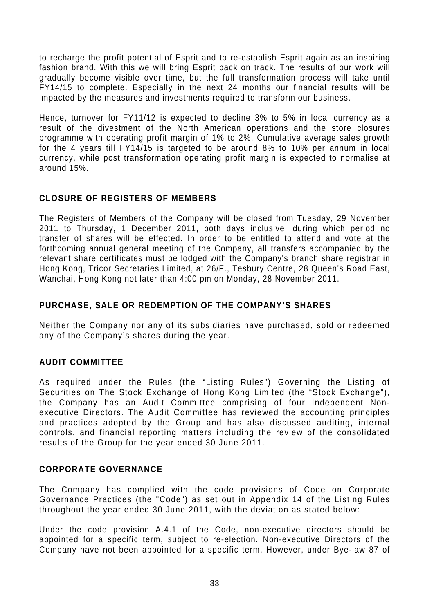to recharge the profit potential of Esprit and to re-establish Esprit again as an inspiring fashion brand. With this we will bring Esprit back on track. The results of our work will gradually become visible over time, but the full transformation process will take until FY14/15 to complete. Especially in the next 24 months our financial results will be impacted by the measures and investments required to transform our business.

Hence, turnover for FY11/12 is expected to decline 3% to 5% in local currency as a result of the divestment of the North American operations and the store closures programme with operating profit margin of 1% to 2%. Cumulative average sales growth for the 4 years till FY14/15 is targeted to be around 8% to 10% per annum in local currency, while post transformation operating profit margin is expected to normalise at around 15%.

# **CLOSURE OF REGISTERS OF MEMBERS**

The Registers of Members of the Company will be closed from Tuesday, 29 November 2011 to Thursday, 1 December 2011, both days inclusive, during which period no transfer of shares will be effected. In order to be entitled to attend and vote at the forthcoming annual general meeting of the Company, all transfers accompanied by the relevant share certificates must be lodged with the Company's branch share registrar in Hong Kong, Tricor Secretaries Limited, at 26/F., Tesbury Centre, 28 Queen's Road East, Wanchai, Hong Kong not later than 4:00 pm on Monday, 28 November 2011.

# **PURCHASE, SALE OR REDEMPTION OF THE COMPANY'S SHARES**

Neither the Company nor any of its subsidiaries have purchased, sold or redeemed any of the Company's shares during the year.

# **AUDIT COMMITTEE**

As required under the Rules (the "Listing Rules") Governing the Listing of Securities on The Stock Exchange of Hong Kong Limited (the "Stock Exchange"), the Company has an Audit Committee comprising of four Independent Nonexecutive Directors. The Audit Committee has reviewed the accounting principles and practices adopted by the Group and has also discussed auditing, internal controls, and financial reporting matters including the review of the consolidated results of the Group for the year ended 30 June 2011.

# **CORPORATE GOVERNANCE**

The Company has complied with the code provisions of Code on Corporate Governance Practices (the "Code") as set out in Appendix 14 of the Listing Rules throughout the year ended 30 June 2011, with the deviation as stated below:

Under the code provision A.4.1 of the Code, non-executive directors should be appointed for a specific term, subject to re-election. Non-executive Directors of the Company have not been appointed for a specific term. However, under Bye-law 87 of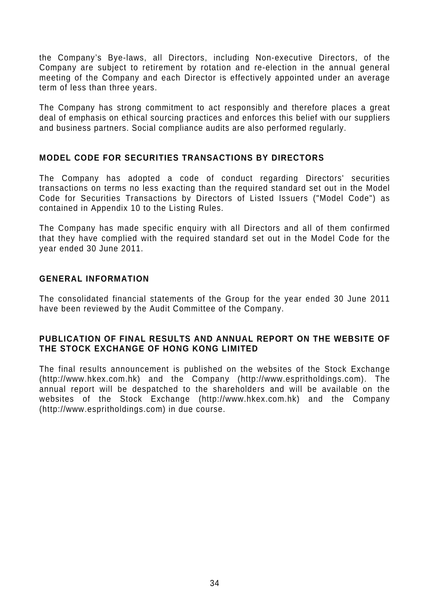the Company's Bye-laws, all Directors, including Non-executive Directors, of the Company are subject to retirement by rotation and re-election in the annual general meeting of the Company and each Director is effectively appointed under an average term of less than three years.

The Company has strong commitment to act responsibly and therefore places a great deal of emphasis on ethical sourcing practices and enforces this belief with our suppliers and business partners. Social compliance audits are also performed regularly.

# **MODEL CODE FOR SECURITIES TRANSACTIONS BY DIRECTORS**

The Company has adopted a code of conduct regarding Directors' securities transactions on terms no less exacting than the required standard set out in the Model Code for Securities Transactions by Directors of Listed Issuers ("Model Code") as contained in Appendix 10 to the Listing Rules.

The Company has made specific enquiry with all Directors and all of them confirmed that they have complied with the required standard set out in the Model Code for the year ended 30 June 2011.

### **GENERAL INFORMATION**

The consolidated financial statements of the Group for the year ended 30 June 2011 have been reviewed by the Audit Committee of the Company.

### **PUBLICATION OF FINAL RESULTS AND ANNUAL REPORT ON THE WEBSITE OF THE STOCK EXCHANGE OF HONG KONG LIMITED**

The final results announcement is published on the websites of the Stock Exchange (http://www.hkex.com.hk) and the Company (http://www.espritholdings.com). The annual report will be despatched to the shareholders and will be available on the websites of the Stock Exchange (http://www.hkex.com.hk) and the Company (http://www.espritholdings.com) in due course.